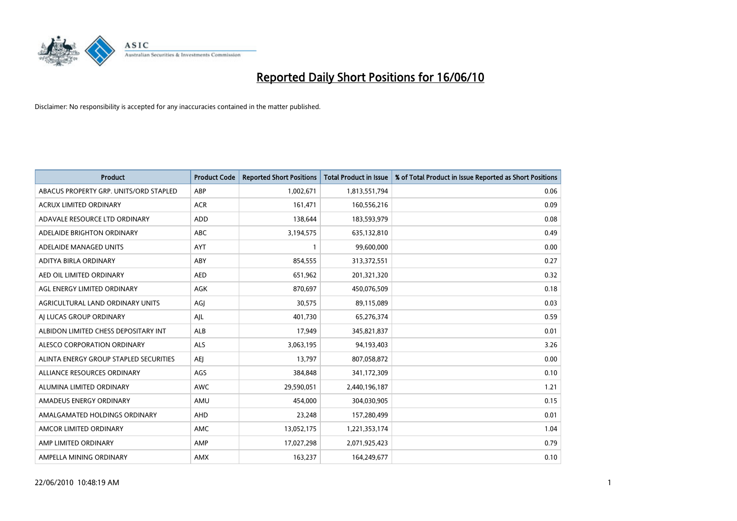

| <b>Product</b>                         | <b>Product Code</b> | <b>Reported Short Positions</b> | Total Product in Issue | % of Total Product in Issue Reported as Short Positions |
|----------------------------------------|---------------------|---------------------------------|------------------------|---------------------------------------------------------|
| ABACUS PROPERTY GRP. UNITS/ORD STAPLED | ABP                 | 1,002,671                       | 1,813,551,794          | 0.06                                                    |
| ACRUX LIMITED ORDINARY                 | <b>ACR</b>          | 161,471                         | 160,556,216            | 0.09                                                    |
| ADAVALE RESOURCE LTD ORDINARY          | <b>ADD</b>          | 138,644                         | 183,593,979            | 0.08                                                    |
| ADELAIDE BRIGHTON ORDINARY             | <b>ABC</b>          | 3,194,575                       | 635,132,810            | 0.49                                                    |
| ADELAIDE MANAGED UNITS                 | <b>AYT</b>          |                                 | 99,600,000             | 0.00                                                    |
| ADITYA BIRLA ORDINARY                  | ABY                 | 854,555                         | 313,372,551            | 0.27                                                    |
| AED OIL LIMITED ORDINARY               | <b>AED</b>          | 651,962                         | 201,321,320            | 0.32                                                    |
| AGL ENERGY LIMITED ORDINARY            | <b>AGK</b>          | 870,697                         | 450,076,509            | 0.18                                                    |
| AGRICULTURAL LAND ORDINARY UNITS       | AGI                 | 30,575                          | 89,115,089             | 0.03                                                    |
| AI LUCAS GROUP ORDINARY                | AJL                 | 401,730                         | 65,276,374             | 0.59                                                    |
| ALBIDON LIMITED CHESS DEPOSITARY INT   | <b>ALB</b>          | 17,949                          | 345,821,837            | 0.01                                                    |
| ALESCO CORPORATION ORDINARY            | <b>ALS</b>          | 3,063,195                       | 94,193,403             | 3.26                                                    |
| ALINTA ENERGY GROUP STAPLED SECURITIES | <b>AEJ</b>          | 13.797                          | 807,058,872            | 0.00                                                    |
| ALLIANCE RESOURCES ORDINARY            | AGS                 | 384.848                         | 341,172,309            | 0.10                                                    |
| ALUMINA LIMITED ORDINARY               | <b>AWC</b>          | 29,590,051                      | 2,440,196,187          | 1.21                                                    |
| AMADEUS ENERGY ORDINARY                | AMU                 | 454.000                         | 304,030,905            | 0.15                                                    |
| AMALGAMATED HOLDINGS ORDINARY          | AHD                 | 23,248                          | 157,280,499            | 0.01                                                    |
| AMCOR LIMITED ORDINARY                 | <b>AMC</b>          | 13,052,175                      | 1,221,353,174          | 1.04                                                    |
| AMP LIMITED ORDINARY                   | AMP                 | 17,027,298                      | 2,071,925,423          | 0.79                                                    |
| AMPELLA MINING ORDINARY                | <b>AMX</b>          | 163,237                         | 164,249,677            | 0.10                                                    |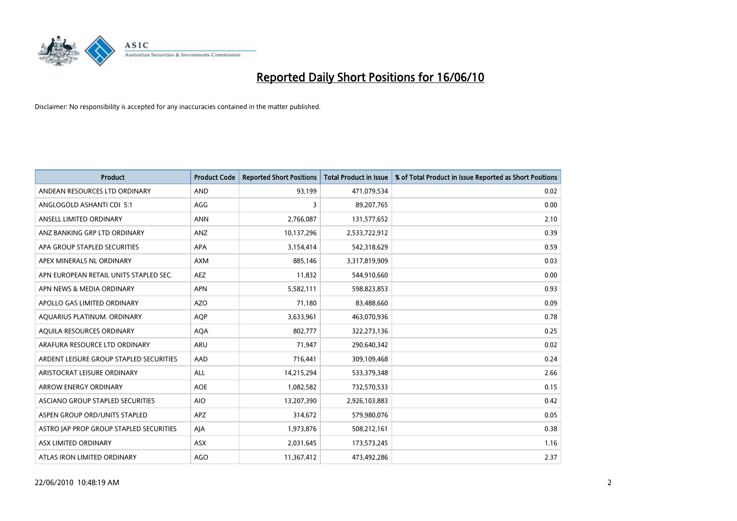

| <b>Product</b>                          | <b>Product Code</b> | <b>Reported Short Positions</b> | <b>Total Product in Issue</b> | % of Total Product in Issue Reported as Short Positions |
|-----------------------------------------|---------------------|---------------------------------|-------------------------------|---------------------------------------------------------|
| ANDEAN RESOURCES LTD ORDINARY           | <b>AND</b>          | 93,199                          | 471,079,534                   | 0.02                                                    |
| ANGLOGOLD ASHANTI CDI 5:1               | AGG                 | 3                               | 89,207,765                    | 0.00                                                    |
| ANSELL LIMITED ORDINARY                 | <b>ANN</b>          | 2,766,087                       | 131,577,652                   | 2.10                                                    |
| ANZ BANKING GRP LTD ORDINARY            | ANZ                 | 10,137,296                      | 2,533,722,912                 | 0.39                                                    |
| APA GROUP STAPLED SECURITIES            | <b>APA</b>          | 3,154,414                       | 542,318,629                   | 0.59                                                    |
| APEX MINERALS NL ORDINARY               | <b>AXM</b>          | 885,146                         | 3,317,819,909                 | 0.03                                                    |
| APN EUROPEAN RETAIL UNITS STAPLED SEC.  | <b>AEZ</b>          | 11,832                          | 544,910,660                   | 0.00                                                    |
| APN NEWS & MEDIA ORDINARY               | <b>APN</b>          | 5,582,111                       | 598,823,853                   | 0.93                                                    |
| APOLLO GAS LIMITED ORDINARY             | <b>AZO</b>          | 71,180                          | 83,488,660                    | 0.09                                                    |
| AQUARIUS PLATINUM. ORDINARY             | <b>AOP</b>          | 3,633,961                       | 463,070,936                   | 0.78                                                    |
| AQUILA RESOURCES ORDINARY               | <b>AQA</b>          | 802,777                         | 322,273,136                   | 0.25                                                    |
| ARAFURA RESOURCE LTD ORDINARY           | <b>ARU</b>          | 71,947                          | 290,640,342                   | 0.02                                                    |
| ARDENT LEISURE GROUP STAPLED SECURITIES | AAD                 | 716,441                         | 309,109,468                   | 0.24                                                    |
| ARISTOCRAT LEISURE ORDINARY             | ALL                 | 14,215,294                      | 533,379,348                   | 2.66                                                    |
| <b>ARROW ENERGY ORDINARY</b>            | <b>AOE</b>          | 1,082,582                       | 732,570,533                   | 0.15                                                    |
| ASCIANO GROUP STAPLED SECURITIES        | <b>AIO</b>          | 13,207,390                      | 2,926,103,883                 | 0.42                                                    |
| ASPEN GROUP ORD/UNITS STAPLED           | APZ                 | 314,672                         | 579,980,076                   | 0.05                                                    |
| ASTRO JAP PROP GROUP STAPLED SECURITIES | AJA                 | 1,973,876                       | 508,212,161                   | 0.38                                                    |
| ASX LIMITED ORDINARY                    | <b>ASX</b>          | 2,031,645                       | 173,573,245                   | 1.16                                                    |
| ATLAS IRON LIMITED ORDINARY             | <b>AGO</b>          | 11,367,412                      | 473.492.286                   | 2.37                                                    |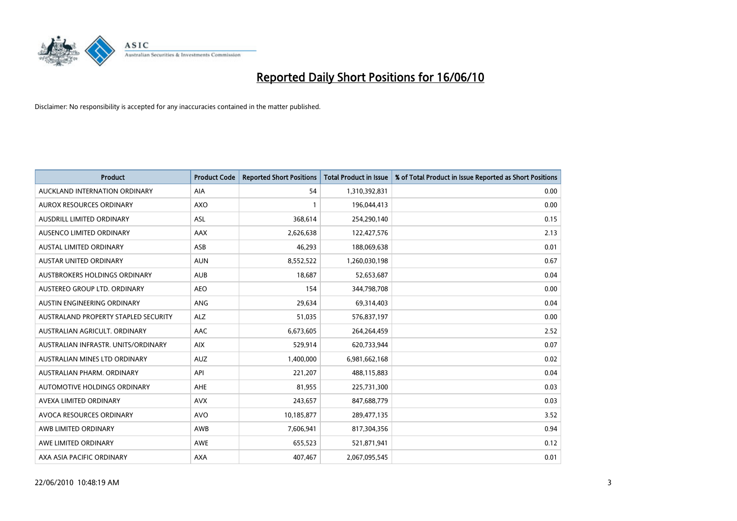

| <b>Product</b>                       | <b>Product Code</b> | <b>Reported Short Positions</b> | <b>Total Product in Issue</b> | % of Total Product in Issue Reported as Short Positions |
|--------------------------------------|---------------------|---------------------------------|-------------------------------|---------------------------------------------------------|
| AUCKLAND INTERNATION ORDINARY        | <b>AIA</b>          | 54                              | 1,310,392,831                 | 0.00                                                    |
| AUROX RESOURCES ORDINARY             | <b>AXO</b>          |                                 | 196,044,413                   | 0.00                                                    |
| <b>AUSDRILL LIMITED ORDINARY</b>     | <b>ASL</b>          | 368,614                         | 254,290,140                   | 0.15                                                    |
| AUSENCO LIMITED ORDINARY             | AAX                 | 2,626,638                       | 122,427,576                   | 2.13                                                    |
| <b>AUSTAL LIMITED ORDINARY</b>       | ASB                 | 46,293                          | 188,069,638                   | 0.01                                                    |
| AUSTAR UNITED ORDINARY               | <b>AUN</b>          | 8,552,522                       | 1,260,030,198                 | 0.67                                                    |
| AUSTBROKERS HOLDINGS ORDINARY        | <b>AUB</b>          | 18,687                          | 52,653,687                    | 0.04                                                    |
| AUSTEREO GROUP LTD. ORDINARY         | <b>AEO</b>          | 154                             | 344,798,708                   | 0.00                                                    |
| AUSTIN ENGINEERING ORDINARY          | <b>ANG</b>          | 29,634                          | 69,314,403                    | 0.04                                                    |
| AUSTRALAND PROPERTY STAPLED SECURITY | <b>ALZ</b>          | 51,035                          | 576,837,197                   | 0.00                                                    |
| AUSTRALIAN AGRICULT. ORDINARY        | AAC                 | 6,673,605                       | 264,264,459                   | 2.52                                                    |
| AUSTRALIAN INFRASTR, UNITS/ORDINARY  | <b>AIX</b>          | 529,914                         | 620,733,944                   | 0.07                                                    |
| AUSTRALIAN MINES LTD ORDINARY        | <b>AUZ</b>          | 1,400,000                       | 6,981,662,168                 | 0.02                                                    |
| AUSTRALIAN PHARM, ORDINARY           | API                 | 221,207                         | 488,115,883                   | 0.04                                                    |
| <b>AUTOMOTIVE HOLDINGS ORDINARY</b>  | AHE                 | 81,955                          | 225,731,300                   | 0.03                                                    |
| AVEXA LIMITED ORDINARY               | <b>AVX</b>          | 243,657                         | 847,688,779                   | 0.03                                                    |
| AVOCA RESOURCES ORDINARY             | <b>AVO</b>          | 10,185,877                      | 289,477,135                   | 3.52                                                    |
| AWB LIMITED ORDINARY                 | AWB                 | 7,606,941                       | 817,304,356                   | 0.94                                                    |
| AWE LIMITED ORDINARY                 | <b>AWE</b>          | 655,523                         | 521,871,941                   | 0.12                                                    |
| AXA ASIA PACIFIC ORDINARY            | <b>AXA</b>          | 407,467                         | 2,067,095,545                 | 0.01                                                    |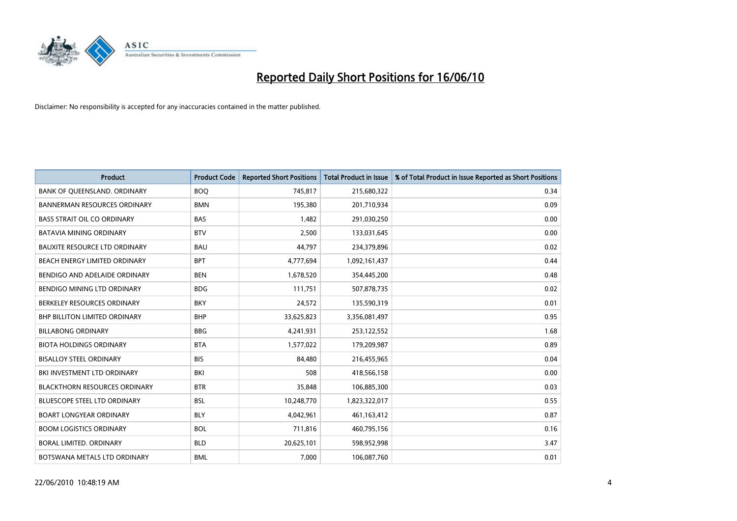

| <b>Product</b>                       | <b>Product Code</b> | <b>Reported Short Positions</b> | <b>Total Product in Issue</b> | % of Total Product in Issue Reported as Short Positions |
|--------------------------------------|---------------------|---------------------------------|-------------------------------|---------------------------------------------------------|
| BANK OF QUEENSLAND. ORDINARY         | <b>BOQ</b>          | 745,817                         | 215,680,322                   | 0.34                                                    |
| <b>BANNERMAN RESOURCES ORDINARY</b>  | <b>BMN</b>          | 195,380                         | 201,710,934                   | 0.09                                                    |
| <b>BASS STRAIT OIL CO ORDINARY</b>   | <b>BAS</b>          | 1,482                           | 291,030,250                   | 0.00                                                    |
| <b>BATAVIA MINING ORDINARY</b>       | <b>BTV</b>          | 2,500                           | 133,031,645                   | 0.00                                                    |
| <b>BAUXITE RESOURCE LTD ORDINARY</b> | <b>BAU</b>          | 44,797                          | 234,379,896                   | 0.02                                                    |
| BEACH ENERGY LIMITED ORDINARY        | <b>BPT</b>          | 4,777,694                       | 1,092,161,437                 | 0.44                                                    |
| BENDIGO AND ADELAIDE ORDINARY        | <b>BEN</b>          | 1,678,520                       | 354,445,200                   | 0.48                                                    |
| BENDIGO MINING LTD ORDINARY          | <b>BDG</b>          | 111,751                         | 507,878,735                   | 0.02                                                    |
| BERKELEY RESOURCES ORDINARY          | <b>BKY</b>          | 24,572                          | 135,590,319                   | 0.01                                                    |
| <b>BHP BILLITON LIMITED ORDINARY</b> | <b>BHP</b>          | 33,625,823                      | 3,356,081,497                 | 0.95                                                    |
| <b>BILLABONG ORDINARY</b>            | <b>BBG</b>          | 4,241,931                       | 253,122,552                   | 1.68                                                    |
| <b>BIOTA HOLDINGS ORDINARY</b>       | <b>BTA</b>          | 1,577,022                       | 179,209,987                   | 0.89                                                    |
| <b>BISALLOY STEEL ORDINARY</b>       | <b>BIS</b>          | 84,480                          | 216,455,965                   | 0.04                                                    |
| BKI INVESTMENT LTD ORDINARY          | BKI                 | 508                             | 418,566,158                   | 0.00                                                    |
| <b>BLACKTHORN RESOURCES ORDINARY</b> | <b>BTR</b>          | 35,848                          | 106,885,300                   | 0.03                                                    |
| <b>BLUESCOPE STEEL LTD ORDINARY</b>  | <b>BSL</b>          | 10,248,770                      | 1,823,322,017                 | 0.55                                                    |
| <b>BOART LONGYEAR ORDINARY</b>       | <b>BLY</b>          | 4,042,961                       | 461,163,412                   | 0.87                                                    |
| <b>BOOM LOGISTICS ORDINARY</b>       | <b>BOL</b>          | 711,816                         | 460,795,156                   | 0.16                                                    |
| BORAL LIMITED. ORDINARY              | <b>BLD</b>          | 20,625,101                      | 598,952,998                   | 3.47                                                    |
| BOTSWANA METALS LTD ORDINARY         | <b>BML</b>          | 7,000                           | 106,087,760                   | 0.01                                                    |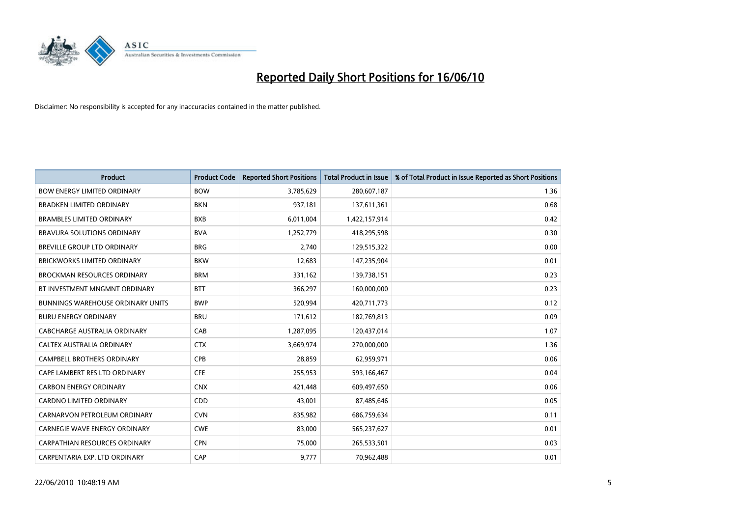

| <b>Product</b>                           | <b>Product Code</b> | <b>Reported Short Positions</b> | <b>Total Product in Issue</b> | % of Total Product in Issue Reported as Short Positions |
|------------------------------------------|---------------------|---------------------------------|-------------------------------|---------------------------------------------------------|
| <b>BOW ENERGY LIMITED ORDINARY</b>       | <b>BOW</b>          | 3,785,629                       | 280,607,187                   | 1.36                                                    |
| <b>BRADKEN LIMITED ORDINARY</b>          | <b>BKN</b>          | 937,181                         | 137,611,361                   | 0.68                                                    |
| <b>BRAMBLES LIMITED ORDINARY</b>         | <b>BXB</b>          | 6,011,004                       | 1,422,157,914                 | 0.42                                                    |
| BRAVURA SOLUTIONS ORDINARY               | <b>BVA</b>          | 1,252,779                       | 418,295,598                   | 0.30                                                    |
| BREVILLE GROUP LTD ORDINARY              | <b>BRG</b>          | 2,740                           | 129,515,322                   | 0.00                                                    |
| <b>BRICKWORKS LIMITED ORDINARY</b>       | <b>BKW</b>          | 12,683                          | 147,235,904                   | 0.01                                                    |
| <b>BROCKMAN RESOURCES ORDINARY</b>       | <b>BRM</b>          | 331,162                         | 139,738,151                   | 0.23                                                    |
| BT INVESTMENT MNGMNT ORDINARY            | <b>BTT</b>          | 366,297                         | 160,000,000                   | 0.23                                                    |
| <b>BUNNINGS WAREHOUSE ORDINARY UNITS</b> | <b>BWP</b>          | 520,994                         | 420,711,773                   | 0.12                                                    |
| <b>BURU ENERGY ORDINARY</b>              | <b>BRU</b>          | 171,612                         | 182,769,813                   | 0.09                                                    |
| CABCHARGE AUSTRALIA ORDINARY             | CAB                 | 1,287,095                       | 120,437,014                   | 1.07                                                    |
| <b>CALTEX AUSTRALIA ORDINARY</b>         | <b>CTX</b>          | 3,669,974                       | 270,000,000                   | 1.36                                                    |
| CAMPBELL BROTHERS ORDINARY               | <b>CPB</b>          | 28,859                          | 62,959,971                    | 0.06                                                    |
| CAPE LAMBERT RES LTD ORDINARY            | <b>CFE</b>          | 255,953                         | 593,166,467                   | 0.04                                                    |
| <b>CARBON ENERGY ORDINARY</b>            | <b>CNX</b>          | 421,448                         | 609,497,650                   | 0.06                                                    |
| <b>CARDNO LIMITED ORDINARY</b>           | CDD                 | 43,001                          | 87,485,646                    | 0.05                                                    |
| CARNARVON PETROLEUM ORDINARY             | <b>CVN</b>          | 835,982                         | 686,759,634                   | 0.11                                                    |
| CARNEGIE WAVE ENERGY ORDINARY            | <b>CWE</b>          | 83,000                          | 565,237,627                   | 0.01                                                    |
| CARPATHIAN RESOURCES ORDINARY            | <b>CPN</b>          | 75,000                          | 265,533,501                   | 0.03                                                    |
| CARPENTARIA EXP. LTD ORDINARY            | CAP                 | 9,777                           | 70,962,488                    | 0.01                                                    |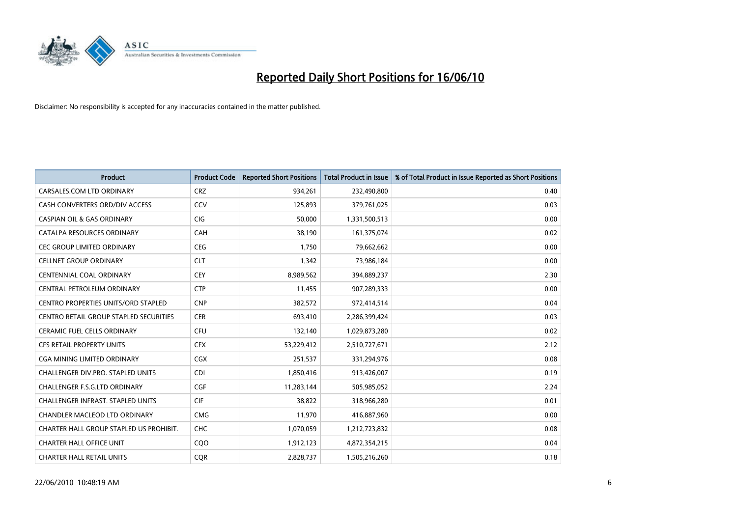

| <b>Product</b>                                | <b>Product Code</b> | <b>Reported Short Positions</b> | Total Product in Issue | % of Total Product in Issue Reported as Short Positions |
|-----------------------------------------------|---------------------|---------------------------------|------------------------|---------------------------------------------------------|
| CARSALES.COM LTD ORDINARY                     | <b>CRZ</b>          | 934,261                         | 232,490,800            | 0.40                                                    |
| CASH CONVERTERS ORD/DIV ACCESS                | CCV                 | 125,893                         | 379,761,025            | 0.03                                                    |
| <b>CASPIAN OIL &amp; GAS ORDINARY</b>         | <b>CIG</b>          | 50,000                          | 1,331,500,513          | 0.00                                                    |
| CATALPA RESOURCES ORDINARY                    | <b>CAH</b>          | 38,190                          | 161,375,074            | 0.02                                                    |
| <b>CEC GROUP LIMITED ORDINARY</b>             | <b>CEG</b>          | 1,750                           | 79,662,662             | 0.00                                                    |
| <b>CELLNET GROUP ORDINARY</b>                 | <b>CLT</b>          | 1,342                           | 73,986,184             | 0.00                                                    |
| <b>CENTENNIAL COAL ORDINARY</b>               | <b>CEY</b>          | 8,989,562                       | 394,889,237            | 2.30                                                    |
| CENTRAL PETROLEUM ORDINARY                    | <b>CTP</b>          | 11,455                          | 907,289,333            | 0.00                                                    |
| CENTRO PROPERTIES UNITS/ORD STAPLED           | <b>CNP</b>          | 382,572                         | 972,414,514            | 0.04                                                    |
| <b>CENTRO RETAIL GROUP STAPLED SECURITIES</b> | <b>CER</b>          | 693,410                         | 2,286,399,424          | 0.03                                                    |
| CERAMIC FUEL CELLS ORDINARY                   | <b>CFU</b>          | 132,140                         | 1,029,873,280          | 0.02                                                    |
| <b>CFS RETAIL PROPERTY UNITS</b>              | <b>CFX</b>          | 53,229,412                      | 2,510,727,671          | 2.12                                                    |
| CGA MINING LIMITED ORDINARY                   | <b>CGX</b>          | 251,537                         | 331,294,976            | 0.08                                                    |
| <b>CHALLENGER DIV.PRO. STAPLED UNITS</b>      | <b>CDI</b>          | 1,850,416                       | 913,426,007            | 0.19                                                    |
| <b>CHALLENGER F.S.G.LTD ORDINARY</b>          | CGF                 | 11,283,144                      | 505,985,052            | 2.24                                                    |
| CHALLENGER INFRAST. STAPLED UNITS             | <b>CIF</b>          | 38,822                          | 318,966,280            | 0.01                                                    |
| CHANDLER MACLEOD LTD ORDINARY                 | <b>CMG</b>          | 11,970                          | 416,887,960            | 0.00                                                    |
| CHARTER HALL GROUP STAPLED US PROHIBIT.       | CHC                 | 1,070,059                       | 1,212,723,832          | 0.08                                                    |
| <b>CHARTER HALL OFFICE UNIT</b>               | C <sub>O</sub> O    | 1,912,123                       | 4,872,354,215          | 0.04                                                    |
| <b>CHARTER HALL RETAIL UNITS</b>              | <b>COR</b>          | 2.828.737                       | 1,505,216,260          | 0.18                                                    |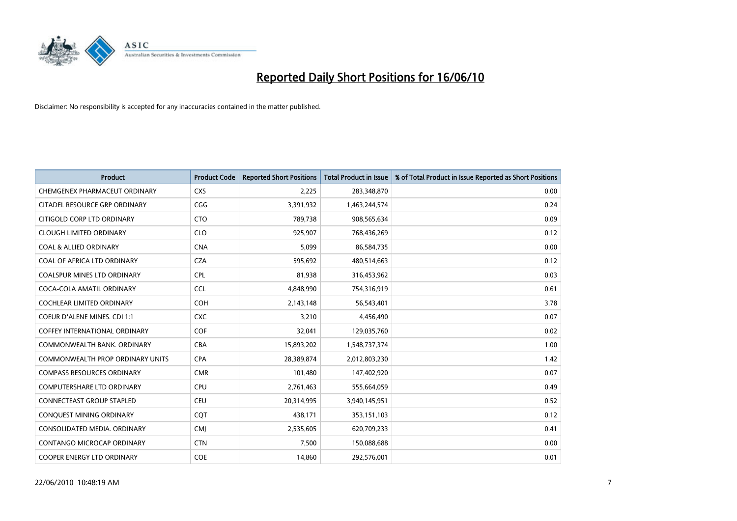

| <b>Product</b>                      | <b>Product Code</b> | <b>Reported Short Positions</b> | <b>Total Product in Issue</b> | % of Total Product in Issue Reported as Short Positions |
|-------------------------------------|---------------------|---------------------------------|-------------------------------|---------------------------------------------------------|
| CHEMGENEX PHARMACEUT ORDINARY       | <b>CXS</b>          | 2,225                           | 283,348,870                   | 0.00                                                    |
| CITADEL RESOURCE GRP ORDINARY       | CGG                 | 3,391,932                       | 1,463,244,574                 | 0.24                                                    |
| CITIGOLD CORP LTD ORDINARY          | <b>CTO</b>          | 789,738                         | 908,565,634                   | 0.09                                                    |
| <b>CLOUGH LIMITED ORDINARY</b>      | <b>CLO</b>          | 925,907                         | 768,436,269                   | 0.12                                                    |
| <b>COAL &amp; ALLIED ORDINARY</b>   | <b>CNA</b>          | 5,099                           | 86,584,735                    | 0.00                                                    |
| COAL OF AFRICA LTD ORDINARY         | <b>CZA</b>          | 595,692                         | 480,514,663                   | 0.12                                                    |
| <b>COALSPUR MINES LTD ORDINARY</b>  | <b>CPL</b>          | 81,938                          | 316,453,962                   | 0.03                                                    |
| COCA-COLA AMATIL ORDINARY           | <b>CCL</b>          | 4,848,990                       | 754,316,919                   | 0.61                                                    |
| <b>COCHLEAR LIMITED ORDINARY</b>    | <b>COH</b>          | 2,143,148                       | 56,543,401                    | 3.78                                                    |
| <b>COEUR D'ALENE MINES. CDI 1:1</b> | <b>CXC</b>          | 3,210                           | 4,456,490                     | 0.07                                                    |
| COFFEY INTERNATIONAL ORDINARY       | COF                 | 32,041                          | 129,035,760                   | 0.02                                                    |
| COMMONWEALTH BANK, ORDINARY         | <b>CBA</b>          | 15,893,202                      | 1,548,737,374                 | 1.00                                                    |
| COMMONWEALTH PROP ORDINARY UNITS    | <b>CPA</b>          | 28,389,874                      | 2,012,803,230                 | 1.42                                                    |
| <b>COMPASS RESOURCES ORDINARY</b>   | <b>CMR</b>          | 101,480                         | 147,402,920                   | 0.07                                                    |
| <b>COMPUTERSHARE LTD ORDINARY</b>   | <b>CPU</b>          | 2,761,463                       | 555,664,059                   | 0.49                                                    |
| CONNECTEAST GROUP STAPLED           | <b>CEU</b>          | 20,314,995                      | 3,940,145,951                 | 0.52                                                    |
| CONQUEST MINING ORDINARY            | CQT                 | 438,171                         | 353,151,103                   | 0.12                                                    |
| CONSOLIDATED MEDIA. ORDINARY        | <b>CMI</b>          | 2,535,605                       | 620,709,233                   | 0.41                                                    |
| CONTANGO MICROCAP ORDINARY          | <b>CTN</b>          | 7,500                           | 150,088,688                   | 0.00                                                    |
| COOPER ENERGY LTD ORDINARY          | COE                 | 14,860                          | 292,576,001                   | 0.01                                                    |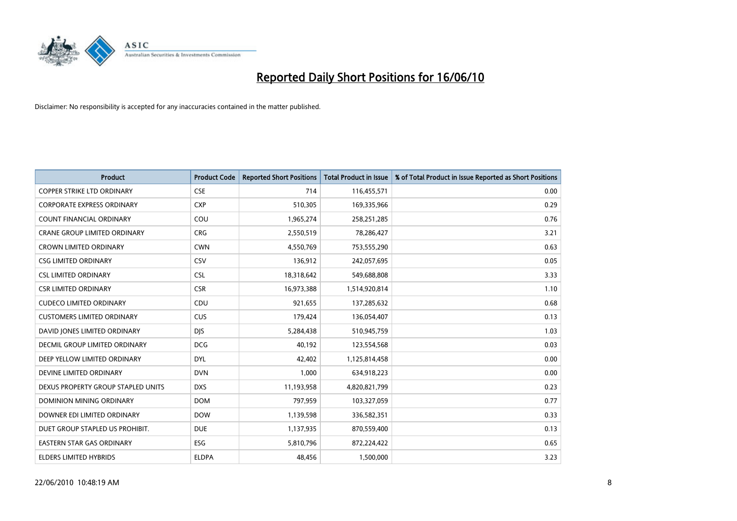

| <b>Product</b>                       | <b>Product Code</b> | <b>Reported Short Positions</b> | <b>Total Product in Issue</b> | % of Total Product in Issue Reported as Short Positions |
|--------------------------------------|---------------------|---------------------------------|-------------------------------|---------------------------------------------------------|
| <b>COPPER STRIKE LTD ORDINARY</b>    | <b>CSE</b>          | 714                             | 116,455,571                   | 0.00                                                    |
| <b>CORPORATE EXPRESS ORDINARY</b>    | <b>CXP</b>          | 510,305                         | 169,335,966                   | 0.29                                                    |
| <b>COUNT FINANCIAL ORDINARY</b>      | COU                 | 1,965,274                       | 258,251,285                   | 0.76                                                    |
| CRANE GROUP LIMITED ORDINARY         | <b>CRG</b>          | 2,550,519                       | 78,286,427                    | 3.21                                                    |
| <b>CROWN LIMITED ORDINARY</b>        | <b>CWN</b>          | 4,550,769                       | 753,555,290                   | 0.63                                                    |
| <b>CSG LIMITED ORDINARY</b>          | CSV                 | 136,912                         | 242,057,695                   | 0.05                                                    |
| <b>CSL LIMITED ORDINARY</b>          | <b>CSL</b>          | 18,318,642                      | 549,688,808                   | 3.33                                                    |
| <b>CSR LIMITED ORDINARY</b>          | <b>CSR</b>          | 16,973,388                      | 1,514,920,814                 | 1.10                                                    |
| <b>CUDECO LIMITED ORDINARY</b>       | CDU                 | 921,655                         | 137,285,632                   | 0.68                                                    |
| <b>CUSTOMERS LIMITED ORDINARY</b>    | <b>CUS</b>          | 179,424                         | 136,054,407                   | 0.13                                                    |
| DAVID JONES LIMITED ORDINARY         | <b>DJS</b>          | 5,284,438                       | 510,945,759                   | 1.03                                                    |
| <b>DECMIL GROUP LIMITED ORDINARY</b> | <b>DCG</b>          | 40,192                          | 123,554,568                   | 0.03                                                    |
| DEEP YELLOW LIMITED ORDINARY         | <b>DYL</b>          | 42.402                          | 1,125,814,458                 | 0.00                                                    |
| DEVINE LIMITED ORDINARY              | <b>DVN</b>          | 1,000                           | 634,918,223                   | 0.00                                                    |
| DEXUS PROPERTY GROUP STAPLED UNITS   | <b>DXS</b>          | 11,193,958                      | 4,820,821,799                 | 0.23                                                    |
| DOMINION MINING ORDINARY             | <b>DOM</b>          | 797,959                         | 103,327,059                   | 0.77                                                    |
| DOWNER EDI LIMITED ORDINARY          | <b>DOW</b>          | 1,139,598                       | 336,582,351                   | 0.33                                                    |
| DUET GROUP STAPLED US PROHIBIT.      | <b>DUE</b>          | 1,137,935                       | 870,559,400                   | 0.13                                                    |
| <b>EASTERN STAR GAS ORDINARY</b>     | <b>ESG</b>          | 5,810,796                       | 872,224,422                   | 0.65                                                    |
| <b>ELDERS LIMITED HYBRIDS</b>        | <b>ELDPA</b>        | 48,456                          | 1,500,000                     | 3.23                                                    |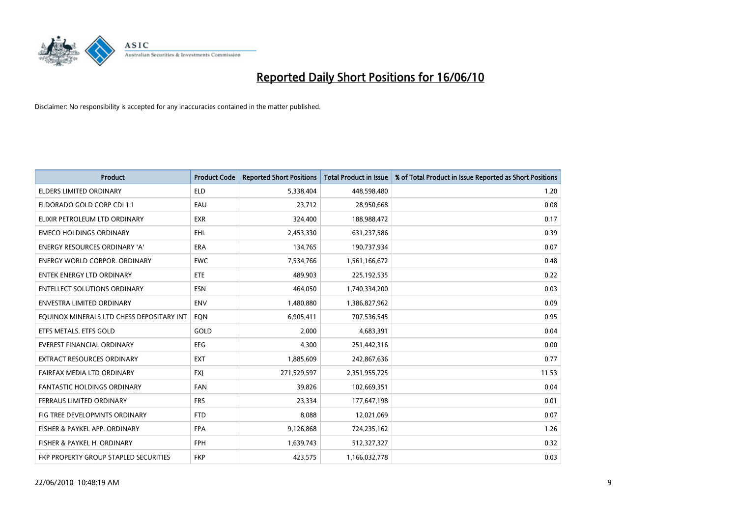

| <b>Product</b>                            | <b>Product Code</b> | <b>Reported Short Positions</b> | Total Product in Issue | % of Total Product in Issue Reported as Short Positions |
|-------------------------------------------|---------------------|---------------------------------|------------------------|---------------------------------------------------------|
| <b>ELDERS LIMITED ORDINARY</b>            | <b>ELD</b>          | 5,338,404                       | 448,598,480            | 1.20                                                    |
| ELDORADO GOLD CORP CDI 1:1                | EAU                 | 23,712                          | 28,950,668             | 0.08                                                    |
| ELIXIR PETROLEUM LTD ORDINARY             | <b>EXR</b>          | 324,400                         | 188,988,472            | 0.17                                                    |
| <b>EMECO HOLDINGS ORDINARY</b>            | <b>EHL</b>          | 2,453,330                       | 631,237,586            | 0.39                                                    |
| <b>ENERGY RESOURCES ORDINARY 'A'</b>      | <b>ERA</b>          | 134,765                         | 190,737,934            | 0.07                                                    |
| <b>ENERGY WORLD CORPOR, ORDINARY</b>      | <b>EWC</b>          | 7,534,766                       | 1,561,166,672          | 0.48                                                    |
| <b>ENTEK ENERGY LTD ORDINARY</b>          | ETE                 | 489.903                         | 225,192,535            | 0.22                                                    |
| <b>ENTELLECT SOLUTIONS ORDINARY</b>       | <b>ESN</b>          | 464,050                         | 1,740,334,200          | 0.03                                                    |
| ENVESTRA LIMITED ORDINARY                 | <b>ENV</b>          | 1,480,880                       | 1,386,827,962          | 0.09                                                    |
| EQUINOX MINERALS LTD CHESS DEPOSITARY INT | EON                 | 6,905,411                       | 707,536,545            | 0.95                                                    |
| ETFS METALS. ETFS GOLD                    | GOLD                | 2,000                           | 4,683,391              | 0.04                                                    |
| <b>EVEREST FINANCIAL ORDINARY</b>         | <b>EFG</b>          | 4,300                           | 251,442,316            | 0.00                                                    |
| EXTRACT RESOURCES ORDINARY                | <b>EXT</b>          | 1,885,609                       | 242,867,636            | 0.77                                                    |
| FAIRFAX MEDIA LTD ORDINARY                | <b>FXI</b>          | 271,529,597                     | 2,351,955,725          | 11.53                                                   |
| <b>FANTASTIC HOLDINGS ORDINARY</b>        | <b>FAN</b>          | 39,826                          | 102,669,351            | 0.04                                                    |
| FERRAUS LIMITED ORDINARY                  | <b>FRS</b>          | 23,334                          | 177,647,198            | 0.01                                                    |
| FIG TREE DEVELOPMNTS ORDINARY             | <b>FTD</b>          | 8,088                           | 12,021,069             | 0.07                                                    |
| FISHER & PAYKEL APP. ORDINARY             | <b>FPA</b>          | 9,126,868                       | 724,235,162            | 1.26                                                    |
| FISHER & PAYKEL H. ORDINARY               | <b>FPH</b>          | 1,639,743                       | 512,327,327            | 0.32                                                    |
| FKP PROPERTY GROUP STAPLED SECURITIES     | <b>FKP</b>          | 423.575                         | 1,166,032,778          | 0.03                                                    |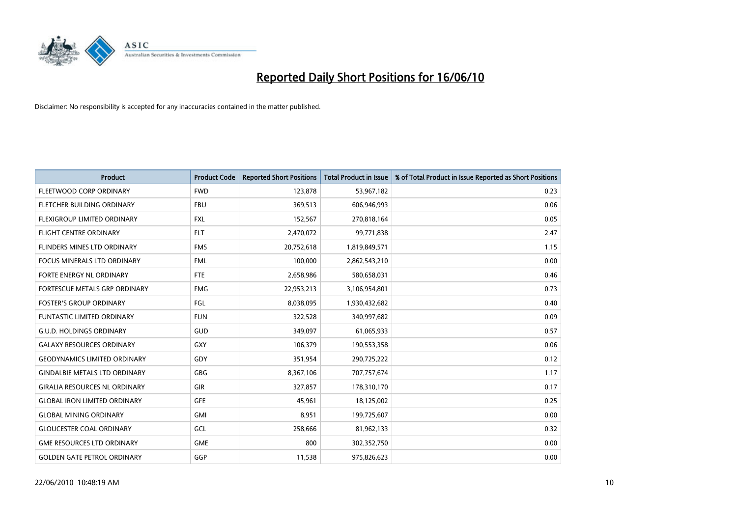

| <b>Product</b>                       | <b>Product Code</b> | <b>Reported Short Positions</b> | <b>Total Product in Issue</b> | % of Total Product in Issue Reported as Short Positions |
|--------------------------------------|---------------------|---------------------------------|-------------------------------|---------------------------------------------------------|
| FLEETWOOD CORP ORDINARY              | <b>FWD</b>          | 123,878                         | 53,967,182                    | 0.23                                                    |
| <b>FLETCHER BUILDING ORDINARY</b>    | <b>FBU</b>          | 369,513                         | 606,946,993                   | 0.06                                                    |
| FLEXIGROUP LIMITED ORDINARY          | <b>FXL</b>          | 152,567                         | 270,818,164                   | 0.05                                                    |
| <b>FLIGHT CENTRE ORDINARY</b>        | <b>FLT</b>          | 2,470,072                       | 99,771,838                    | 2.47                                                    |
| FLINDERS MINES LTD ORDINARY          | <b>FMS</b>          | 20,752,618                      | 1,819,849,571                 | 1.15                                                    |
| <b>FOCUS MINERALS LTD ORDINARY</b>   | <b>FML</b>          | 100,000                         | 2,862,543,210                 | 0.00                                                    |
| FORTE ENERGY NL ORDINARY             | <b>FTE</b>          | 2,658,986                       | 580,658,031                   | 0.46                                                    |
| FORTESCUE METALS GRP ORDINARY        | <b>FMG</b>          | 22,953,213                      | 3,106,954,801                 | 0.73                                                    |
| <b>FOSTER'S GROUP ORDINARY</b>       | FGL                 | 8,038,095                       | 1,930,432,682                 | 0.40                                                    |
| <b>FUNTASTIC LIMITED ORDINARY</b>    | <b>FUN</b>          | 322,528                         | 340,997,682                   | 0.09                                                    |
| <b>G.U.D. HOLDINGS ORDINARY</b>      | <b>GUD</b>          | 349,097                         | 61,065,933                    | 0.57                                                    |
| <b>GALAXY RESOURCES ORDINARY</b>     | <b>GXY</b>          | 106,379                         | 190,553,358                   | 0.06                                                    |
| <b>GEODYNAMICS LIMITED ORDINARY</b>  | GDY                 | 351,954                         | 290,725,222                   | 0.12                                                    |
| <b>GINDALBIE METALS LTD ORDINARY</b> | <b>GBG</b>          | 8,367,106                       | 707,757,674                   | 1.17                                                    |
| <b>GIRALIA RESOURCES NL ORDINARY</b> | <b>GIR</b>          | 327,857                         | 178,310,170                   | 0.17                                                    |
| <b>GLOBAL IRON LIMITED ORDINARY</b>  | <b>GFE</b>          | 45,961                          | 18,125,002                    | 0.25                                                    |
| <b>GLOBAL MINING ORDINARY</b>        | <b>GMI</b>          | 8,951                           | 199,725,607                   | 0.00                                                    |
| <b>GLOUCESTER COAL ORDINARY</b>      | GCL                 | 258,666                         | 81,962,133                    | 0.32                                                    |
| <b>GME RESOURCES LTD ORDINARY</b>    | <b>GME</b>          | 800                             | 302,352,750                   | 0.00                                                    |
| <b>GOLDEN GATE PETROL ORDINARY</b>   | GGP                 | 11,538                          | 975,826,623                   | 0.00                                                    |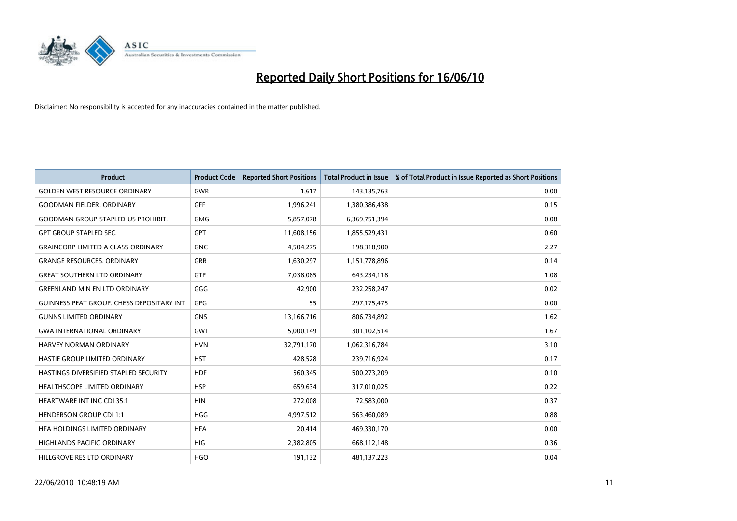

| <b>Product</b>                            | <b>Product Code</b> | <b>Reported Short Positions</b> | <b>Total Product in Issue</b> | % of Total Product in Issue Reported as Short Positions |
|-------------------------------------------|---------------------|---------------------------------|-------------------------------|---------------------------------------------------------|
| <b>GOLDEN WEST RESOURCE ORDINARY</b>      | <b>GWR</b>          | 1.617                           | 143,135,763                   | 0.00                                                    |
| <b>GOODMAN FIELDER, ORDINARY</b>          | <b>GFF</b>          | 1,996,241                       | 1,380,386,438                 | 0.15                                                    |
| <b>GOODMAN GROUP STAPLED US PROHIBIT.</b> | <b>GMG</b>          | 5,857,078                       | 6,369,751,394                 | 0.08                                                    |
| <b>GPT GROUP STAPLED SEC.</b>             | <b>GPT</b>          | 11,608,156                      | 1,855,529,431                 | 0.60                                                    |
| <b>GRAINCORP LIMITED A CLASS ORDINARY</b> | <b>GNC</b>          | 4,504,275                       | 198,318,900                   | 2.27                                                    |
| <b>GRANGE RESOURCES. ORDINARY</b>         | <b>GRR</b>          | 1,630,297                       | 1,151,778,896                 | 0.14                                                    |
| <b>GREAT SOUTHERN LTD ORDINARY</b>        | <b>GTP</b>          | 7,038,085                       | 643,234,118                   | 1.08                                                    |
| <b>GREENLAND MIN EN LTD ORDINARY</b>      | GGG                 | 42,900                          | 232,258,247                   | 0.02                                                    |
| GUINNESS PEAT GROUP. CHESS DEPOSITARY INT | <b>GPG</b>          | 55                              | 297,175,475                   | 0.00                                                    |
| <b>GUNNS LIMITED ORDINARY</b>             | <b>GNS</b>          | 13,166,716                      | 806,734,892                   | 1.62                                                    |
| <b>GWA INTERNATIONAL ORDINARY</b>         | <b>GWT</b>          | 5,000,149                       | 301,102,514                   | 1.67                                                    |
| <b>HARVEY NORMAN ORDINARY</b>             | <b>HVN</b>          | 32,791,170                      | 1,062,316,784                 | 3.10                                                    |
| HASTIE GROUP LIMITED ORDINARY             | <b>HST</b>          | 428,528                         | 239,716,924                   | 0.17                                                    |
| HASTINGS DIVERSIFIED STAPLED SECURITY     | <b>HDF</b>          | 560,345                         | 500,273,209                   | 0.10                                                    |
| <b>HEALTHSCOPE LIMITED ORDINARY</b>       | <b>HSP</b>          | 659,634                         | 317,010,025                   | 0.22                                                    |
| HEARTWARE INT INC CDI 35:1                | <b>HIN</b>          | 272,008                         | 72,583,000                    | 0.37                                                    |
| <b>HENDERSON GROUP CDI 1:1</b>            | <b>HGG</b>          | 4,997,512                       | 563,460,089                   | 0.88                                                    |
| HEA HOLDINGS LIMITED ORDINARY             | <b>HFA</b>          | 20,414                          | 469,330,170                   | 0.00                                                    |
| <b>HIGHLANDS PACIFIC ORDINARY</b>         | <b>HIG</b>          | 2,382,805                       | 668,112,148                   | 0.36                                                    |
| HILLGROVE RES LTD ORDINARY                | <b>HGO</b>          | 191,132                         | 481,137,223                   | 0.04                                                    |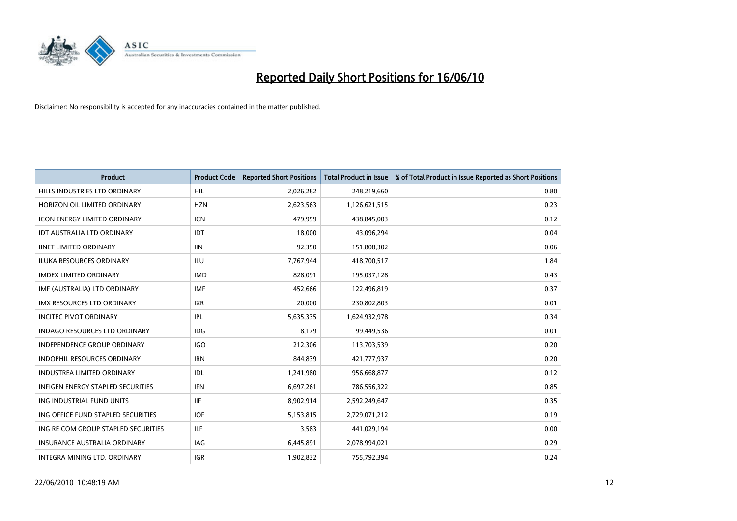

| <b>Product</b>                           | <b>Product Code</b> | <b>Reported Short Positions</b> | <b>Total Product in Issue</b> | % of Total Product in Issue Reported as Short Positions |
|------------------------------------------|---------------------|---------------------------------|-------------------------------|---------------------------------------------------------|
| HILLS INDUSTRIES LTD ORDINARY            | HIL                 | 2,026,282                       | 248,219,660                   | 0.80                                                    |
| HORIZON OIL LIMITED ORDINARY             | <b>HZN</b>          | 2,623,563                       | 1,126,621,515                 | 0.23                                                    |
| <b>ICON ENERGY LIMITED ORDINARY</b>      | <b>ICN</b>          | 479,959                         | 438,845,003                   | 0.12                                                    |
| IDT AUSTRALIA LTD ORDINARY               | IDT                 | 18,000                          | 43,096,294                    | 0.04                                                    |
| <b>IINET LIMITED ORDINARY</b>            | <b>IIN</b>          | 92,350                          | 151,808,302                   | 0.06                                                    |
| <b>ILUKA RESOURCES ORDINARY</b>          | <b>ILU</b>          | 7,767,944                       | 418,700,517                   | 1.84                                                    |
| <b>IMDEX LIMITED ORDINARY</b>            | <b>IMD</b>          | 828,091                         | 195,037,128                   | 0.43                                                    |
| IMF (AUSTRALIA) LTD ORDINARY             | <b>IMF</b>          | 452,666                         | 122,496,819                   | 0.37                                                    |
| IMX RESOURCES LTD ORDINARY               | <b>IXR</b>          | 20,000                          | 230,802,803                   | 0.01                                                    |
| <b>INCITEC PIVOT ORDINARY</b>            | IPL                 | 5,635,335                       | 1,624,932,978                 | 0.34                                                    |
| <b>INDAGO RESOURCES LTD ORDINARY</b>     | <b>IDG</b>          | 8,179                           | 99,449,536                    | 0.01                                                    |
| <b>INDEPENDENCE GROUP ORDINARY</b>       | <b>IGO</b>          | 212,306                         | 113,703,539                   | 0.20                                                    |
| <b>INDOPHIL RESOURCES ORDINARY</b>       | <b>IRN</b>          | 844,839                         | 421,777,937                   | 0.20                                                    |
| <b>INDUSTREA LIMITED ORDINARY</b>        | IDL                 | 1,241,980                       | 956,668,877                   | 0.12                                                    |
| <b>INFIGEN ENERGY STAPLED SECURITIES</b> | <b>IFN</b>          | 6,697,261                       | 786,556,322                   | 0.85                                                    |
| ING INDUSTRIAL FUND UNITS                | <b>IIF</b>          | 8,902,914                       | 2,592,249,647                 | 0.35                                                    |
| ING OFFICE FUND STAPLED SECURITIES       | <b>IOF</b>          | 5,153,815                       | 2,729,071,212                 | 0.19                                                    |
| ING RE COM GROUP STAPLED SECURITIES      | <b>ILF</b>          | 3,583                           | 441,029,194                   | 0.00                                                    |
| <b>INSURANCE AUSTRALIA ORDINARY</b>      | IAG                 | 6,445,891                       | 2,078,994,021                 | 0.29                                                    |
| INTEGRA MINING LTD. ORDINARY             | <b>IGR</b>          | 1,902,832                       | 755,792,394                   | 0.24                                                    |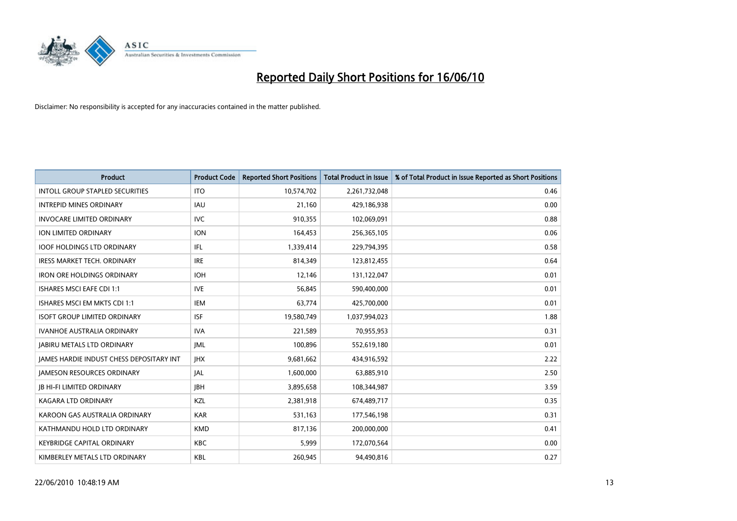

| <b>Product</b>                                  | <b>Product Code</b> | <b>Reported Short Positions</b> | Total Product in Issue | % of Total Product in Issue Reported as Short Positions |
|-------------------------------------------------|---------------------|---------------------------------|------------------------|---------------------------------------------------------|
| <b>INTOLL GROUP STAPLED SECURITIES</b>          | <b>ITO</b>          | 10,574,702                      | 2,261,732,048          | 0.46                                                    |
| <b>INTREPID MINES ORDINARY</b>                  | <b>IAU</b>          | 21,160                          | 429,186,938            | 0.00                                                    |
| <b>INVOCARE LIMITED ORDINARY</b>                | <b>IVC</b>          | 910,355                         | 102,069,091            | 0.88                                                    |
| ION LIMITED ORDINARY                            | <b>ION</b>          | 164,453                         | 256,365,105            | 0.06                                                    |
| <b>IOOF HOLDINGS LTD ORDINARY</b>               | <b>IFL</b>          | 1,339,414                       | 229,794,395            | 0.58                                                    |
| <b>IRESS MARKET TECH. ORDINARY</b>              | <b>IRE</b>          | 814,349                         | 123,812,455            | 0.64                                                    |
| <b>IRON ORE HOLDINGS ORDINARY</b>               | <b>IOH</b>          | 12,146                          | 131,122,047            | 0.01                                                    |
| <b>ISHARES MSCI EAFE CDI 1:1</b>                | <b>IVE</b>          | 56,845                          | 590,400,000            | 0.01                                                    |
| ISHARES MSCI EM MKTS CDI 1:1                    | <b>IEM</b>          | 63,774                          | 425,700,000            | 0.01                                                    |
| <b>ISOFT GROUP LIMITED ORDINARY</b>             | <b>ISF</b>          | 19,580,749                      | 1,037,994,023          | 1.88                                                    |
| IVANHOE AUSTRALIA ORDINARY                      | <b>IVA</b>          | 221,589                         | 70,955,953             | 0.31                                                    |
| <b>JABIRU METALS LTD ORDINARY</b>               | <b>JML</b>          | 100,896                         | 552,619,180            | 0.01                                                    |
| <b>IAMES HARDIE INDUST CHESS DEPOSITARY INT</b> | <b>IHX</b>          | 9,681,662                       | 434,916,592            | 2.22                                                    |
| <b>JAMESON RESOURCES ORDINARY</b>               | <b>JAL</b>          | 1,600,000                       | 63,885,910             | 2.50                                                    |
| <b>JB HI-FI LIMITED ORDINARY</b>                | <b>JBH</b>          | 3,895,658                       | 108,344,987            | 3.59                                                    |
| <b>KAGARA LTD ORDINARY</b>                      | KZL                 | 2,381,918                       | 674,489,717            | 0.35                                                    |
| KAROON GAS AUSTRALIA ORDINARY                   | <b>KAR</b>          | 531,163                         | 177,546,198            | 0.31                                                    |
| KATHMANDU HOLD LTD ORDINARY                     | <b>KMD</b>          | 817,136                         | 200,000,000            | 0.41                                                    |
| <b>KEYBRIDGE CAPITAL ORDINARY</b>               | <b>KBC</b>          | 5,999                           | 172,070,564            | 0.00                                                    |
| KIMBERLEY METALS LTD ORDINARY                   | <b>KBL</b>          | 260,945                         | 94,490,816             | 0.27                                                    |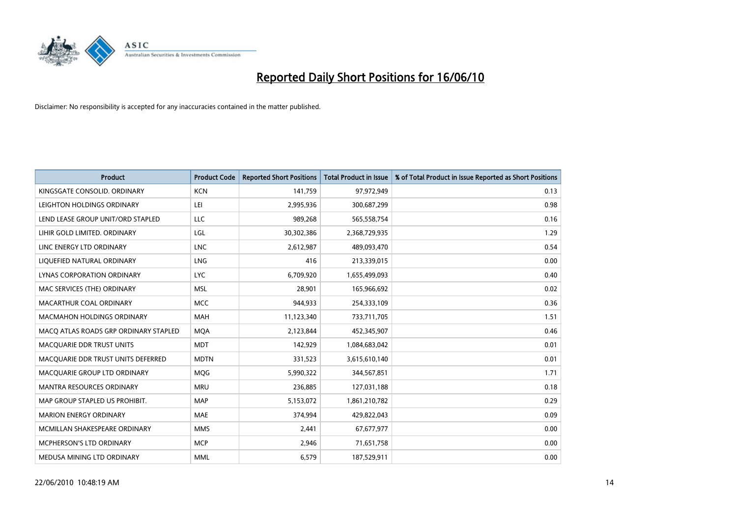

| <b>Product</b>                        | <b>Product Code</b> | <b>Reported Short Positions</b> | <b>Total Product in Issue</b> | % of Total Product in Issue Reported as Short Positions |
|---------------------------------------|---------------------|---------------------------------|-------------------------------|---------------------------------------------------------|
| KINGSGATE CONSOLID. ORDINARY          | <b>KCN</b>          | 141,759                         | 97,972,949                    | 0.13                                                    |
| LEIGHTON HOLDINGS ORDINARY            | LEI                 | 2,995,936                       | 300,687,299                   | 0.98                                                    |
| LEND LEASE GROUP UNIT/ORD STAPLED     | LLC                 | 989,268                         | 565,558,754                   | 0.16                                                    |
| LIHIR GOLD LIMITED. ORDINARY          | LGL                 | 30,302,386                      | 2,368,729,935                 | 1.29                                                    |
| LINC ENERGY LTD ORDINARY              | <b>LNC</b>          | 2,612,987                       | 489,093,470                   | 0.54                                                    |
| LIQUEFIED NATURAL ORDINARY            | <b>LNG</b>          | 416                             | 213,339,015                   | 0.00                                                    |
| LYNAS CORPORATION ORDINARY            | <b>LYC</b>          | 6,709,920                       | 1,655,499,093                 | 0.40                                                    |
| MAC SERVICES (THE) ORDINARY           | <b>MSL</b>          | 28,901                          | 165,966,692                   | 0.02                                                    |
| MACARTHUR COAL ORDINARY               | <b>MCC</b>          | 944.933                         | 254,333,109                   | 0.36                                                    |
| <b>MACMAHON HOLDINGS ORDINARY</b>     | <b>MAH</b>          | 11,123,340                      | 733,711,705                   | 1.51                                                    |
| MACQ ATLAS ROADS GRP ORDINARY STAPLED | <b>MOA</b>          | 2,123,844                       | 452,345,907                   | 0.46                                                    |
| MACQUARIE DDR TRUST UNITS             | <b>MDT</b>          | 142,929                         | 1,084,683,042                 | 0.01                                                    |
| MACQUARIE DDR TRUST UNITS DEFERRED    | <b>MDTN</b>         | 331,523                         | 3,615,610,140                 | 0.01                                                    |
| MACQUARIE GROUP LTD ORDINARY          | <b>MOG</b>          | 5,990,322                       | 344,567,851                   | 1.71                                                    |
| <b>MANTRA RESOURCES ORDINARY</b>      | <b>MRU</b>          | 236,885                         | 127,031,188                   | 0.18                                                    |
| MAP GROUP STAPLED US PROHIBIT.        | <b>MAP</b>          | 5,153,072                       | 1,861,210,782                 | 0.29                                                    |
| <b>MARION ENERGY ORDINARY</b>         | <b>MAE</b>          | 374,994                         | 429,822,043                   | 0.09                                                    |
| MCMILLAN SHAKESPEARE ORDINARY         | <b>MMS</b>          | 2,441                           | 67,677,977                    | 0.00                                                    |
| MCPHERSON'S LTD ORDINARY              | <b>MCP</b>          | 2,946                           | 71,651,758                    | 0.00                                                    |
| MEDUSA MINING LTD ORDINARY            | <b>MML</b>          | 6,579                           | 187,529,911                   | 0.00                                                    |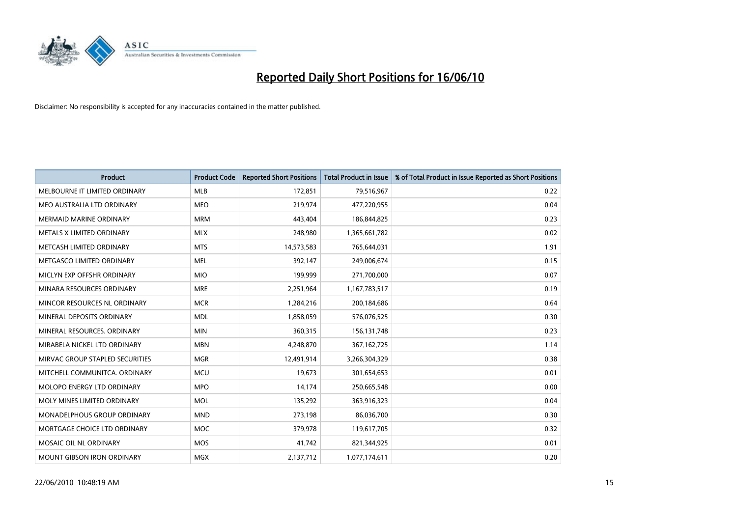

| <b>Product</b>                    | <b>Product Code</b> | <b>Reported Short Positions</b> | <b>Total Product in Issue</b> | % of Total Product in Issue Reported as Short Positions |
|-----------------------------------|---------------------|---------------------------------|-------------------------------|---------------------------------------------------------|
| MELBOURNE IT LIMITED ORDINARY     | <b>MLB</b>          | 172,851                         | 79,516,967                    | 0.22                                                    |
| MEO AUSTRALIA LTD ORDINARY        | <b>MEO</b>          | 219,974                         | 477,220,955                   | 0.04                                                    |
| <b>MERMAID MARINE ORDINARY</b>    | <b>MRM</b>          | 443,404                         | 186,844,825                   | 0.23                                                    |
| METALS X LIMITED ORDINARY         | <b>MLX</b>          | 248,980                         | 1,365,661,782                 | 0.02                                                    |
| METCASH LIMITED ORDINARY          | <b>MTS</b>          | 14,573,583                      | 765,644,031                   | 1.91                                                    |
| METGASCO LIMITED ORDINARY         | <b>MEL</b>          | 392,147                         | 249,006,674                   | 0.15                                                    |
| MICLYN EXP OFFSHR ORDINARY        | <b>MIO</b>          | 199.999                         | 271,700,000                   | 0.07                                                    |
| MINARA RESOURCES ORDINARY         | <b>MRE</b>          | 2,251,964                       | 1,167,783,517                 | 0.19                                                    |
| MINCOR RESOURCES NL ORDINARY      | <b>MCR</b>          | 1,284,216                       | 200,184,686                   | 0.64                                                    |
| MINERAL DEPOSITS ORDINARY         | <b>MDL</b>          | 1,858,059                       | 576,076,525                   | 0.30                                                    |
| MINERAL RESOURCES, ORDINARY       | <b>MIN</b>          | 360,315                         | 156,131,748                   | 0.23                                                    |
| MIRABELA NICKEL LTD ORDINARY      | <b>MBN</b>          | 4,248,870                       | 367, 162, 725                 | 1.14                                                    |
| MIRVAC GROUP STAPLED SECURITIES   | <b>MGR</b>          | 12,491,914                      | 3,266,304,329                 | 0.38                                                    |
| MITCHELL COMMUNITCA, ORDINARY     | <b>MCU</b>          | 19.673                          | 301,654,653                   | 0.01                                                    |
| <b>MOLOPO ENERGY LTD ORDINARY</b> | <b>MPO</b>          | 14,174                          | 250,665,548                   | 0.00                                                    |
| MOLY MINES LIMITED ORDINARY       | <b>MOL</b>          | 135,292                         | 363,916,323                   | 0.04                                                    |
| MONADELPHOUS GROUP ORDINARY       | <b>MND</b>          | 273,198                         | 86,036,700                    | 0.30                                                    |
| MORTGAGE CHOICE LTD ORDINARY      | <b>MOC</b>          | 379,978                         | 119,617,705                   | 0.32                                                    |
| MOSAIC OIL NL ORDINARY            | <b>MOS</b>          | 41,742                          | 821,344,925                   | 0.01                                                    |
| <b>MOUNT GIBSON IRON ORDINARY</b> | <b>MGX</b>          | 2,137,712                       | 1,077,174,611                 | 0.20                                                    |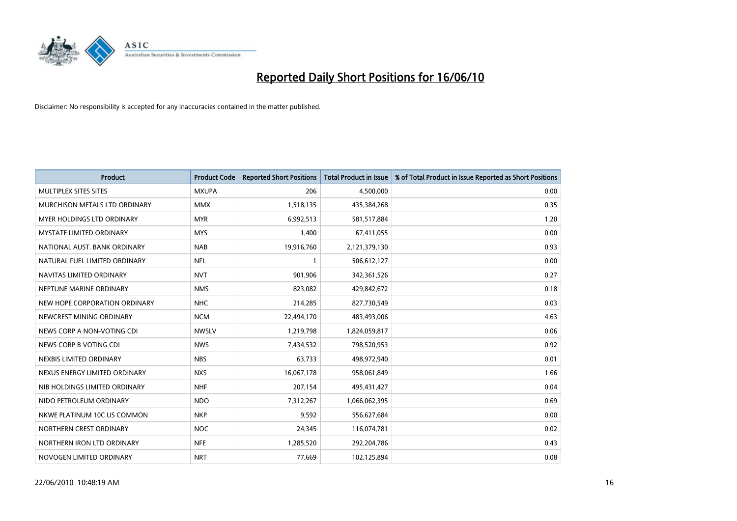

| <b>Product</b>                       | <b>Product Code</b> | <b>Reported Short Positions</b> | <b>Total Product in Issue</b> | % of Total Product in Issue Reported as Short Positions |
|--------------------------------------|---------------------|---------------------------------|-------------------------------|---------------------------------------------------------|
| MULTIPLEX SITES SITES                | <b>MXUPA</b>        | 206                             | 4,500,000                     | 0.00                                                    |
| <b>MURCHISON METALS LTD ORDINARY</b> | <b>MMX</b>          | 1,518,135                       | 435,384,268                   | 0.35                                                    |
| <b>MYER HOLDINGS LTD ORDINARY</b>    | <b>MYR</b>          | 6,992,513                       | 581,517,884                   | 1.20                                                    |
| MYSTATE LIMITED ORDINARY             | <b>MYS</b>          | 1,400                           | 67,411,055                    | 0.00                                                    |
| NATIONAL AUST. BANK ORDINARY         | <b>NAB</b>          | 19,916,760                      | 2,121,379,130                 | 0.93                                                    |
| NATURAL FUEL LIMITED ORDINARY        | <b>NFL</b>          |                                 | 506,612,127                   | 0.00                                                    |
| NAVITAS LIMITED ORDINARY             | <b>NVT</b>          | 901,906                         | 342,361,526                   | 0.27                                                    |
| NEPTUNE MARINE ORDINARY              | <b>NMS</b>          | 823,082                         | 429,842,672                   | 0.18                                                    |
| NEW HOPE CORPORATION ORDINARY        | <b>NHC</b>          | 214,285                         | 827,730,549                   | 0.03                                                    |
| NEWCREST MINING ORDINARY             | <b>NCM</b>          | 22,494,170                      | 483,493,006                   | 4.63                                                    |
| NEWS CORP A NON-VOTING CDI           | <b>NWSLV</b>        | 1,219,798                       | 1,824,059,817                 | 0.06                                                    |
| NEWS CORP B VOTING CDI               | <b>NWS</b>          | 7,434,532                       | 798,520,953                   | 0.92                                                    |
| NEXBIS LIMITED ORDINARY              | <b>NBS</b>          | 63,733                          | 498,972,940                   | 0.01                                                    |
| NEXUS ENERGY LIMITED ORDINARY        | <b>NXS</b>          | 16,067,178                      | 958,061,849                   | 1.66                                                    |
| NIB HOLDINGS LIMITED ORDINARY        | <b>NHF</b>          | 207,154                         | 495,431,427                   | 0.04                                                    |
| NIDO PETROLEUM ORDINARY              | <b>NDO</b>          | 7,312,267                       | 1,066,062,395                 | 0.69                                                    |
| NKWE PLATINUM 10C US COMMON          | <b>NKP</b>          | 9,592                           | 556,627,684                   | 0.00                                                    |
| NORTHERN CREST ORDINARY              | <b>NOC</b>          | 24,345                          | 116,074,781                   | 0.02                                                    |
| NORTHERN IRON LTD ORDINARY           | <b>NFE</b>          | 1,285,520                       | 292,204,786                   | 0.43                                                    |
| NOVOGEN LIMITED ORDINARY             | <b>NRT</b>          | 77,669                          | 102,125,894                   | 0.08                                                    |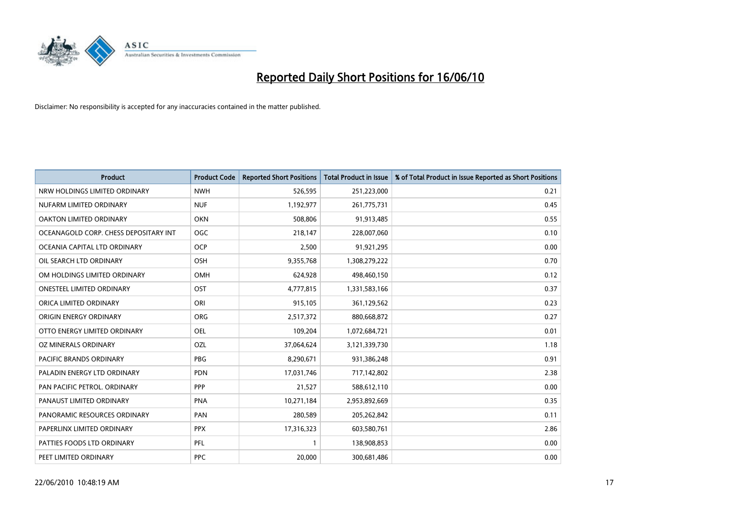

| <b>Product</b>                        | <b>Product Code</b> | <b>Reported Short Positions</b> | <b>Total Product in Issue</b> | % of Total Product in Issue Reported as Short Positions |
|---------------------------------------|---------------------|---------------------------------|-------------------------------|---------------------------------------------------------|
| NRW HOLDINGS LIMITED ORDINARY         | <b>NWH</b>          | 526,595                         | 251,223,000                   | 0.21                                                    |
| NUFARM LIMITED ORDINARY               | <b>NUF</b>          | 1,192,977                       | 261,775,731                   | 0.45                                                    |
| OAKTON LIMITED ORDINARY               | <b>OKN</b>          | 508,806                         | 91,913,485                    | 0.55                                                    |
| OCEANAGOLD CORP. CHESS DEPOSITARY INT | <b>OGC</b>          | 218,147                         | 228,007,060                   | 0.10                                                    |
| OCEANIA CAPITAL LTD ORDINARY          | <b>OCP</b>          | 2,500                           | 91,921,295                    | 0.00                                                    |
| OIL SEARCH LTD ORDINARY               | <b>OSH</b>          | 9,355,768                       | 1,308,279,222                 | 0.70                                                    |
| OM HOLDINGS LIMITED ORDINARY          | <b>OMH</b>          | 624,928                         | 498,460,150                   | 0.12                                                    |
| <b>ONESTEEL LIMITED ORDINARY</b>      | OST                 | 4,777,815                       | 1,331,583,166                 | 0.37                                                    |
| ORICA LIMITED ORDINARY                | ORI                 | 915,105                         | 361,129,562                   | 0.23                                                    |
| ORIGIN ENERGY ORDINARY                | <b>ORG</b>          | 2,517,372                       | 880,668,872                   | 0.27                                                    |
| OTTO ENERGY LIMITED ORDINARY          | <b>OEL</b>          | 109,204                         | 1,072,684,721                 | 0.01                                                    |
| OZ MINERALS ORDINARY                  | OZL                 | 37,064,624                      | 3,121,339,730                 | 1.18                                                    |
| <b>PACIFIC BRANDS ORDINARY</b>        | <b>PBG</b>          | 8,290,671                       | 931,386,248                   | 0.91                                                    |
| PALADIN ENERGY LTD ORDINARY           | <b>PDN</b>          | 17,031,746                      | 717,142,802                   | 2.38                                                    |
| PAN PACIFIC PETROL. ORDINARY          | PPP                 | 21,527                          | 588,612,110                   | 0.00                                                    |
| PANAUST LIMITED ORDINARY              | <b>PNA</b>          | 10,271,184                      | 2,953,892,669                 | 0.35                                                    |
| PANORAMIC RESOURCES ORDINARY          | PAN                 | 280,589                         | 205,262,842                   | 0.11                                                    |
| PAPERLINX LIMITED ORDINARY            | <b>PPX</b>          | 17,316,323                      | 603,580,761                   | 2.86                                                    |
| PATTIES FOODS LTD ORDINARY            | PFL                 |                                 | 138,908,853                   | 0.00                                                    |
| PEET LIMITED ORDINARY                 | PPC                 | 20.000                          | 300,681,486                   | 0.00                                                    |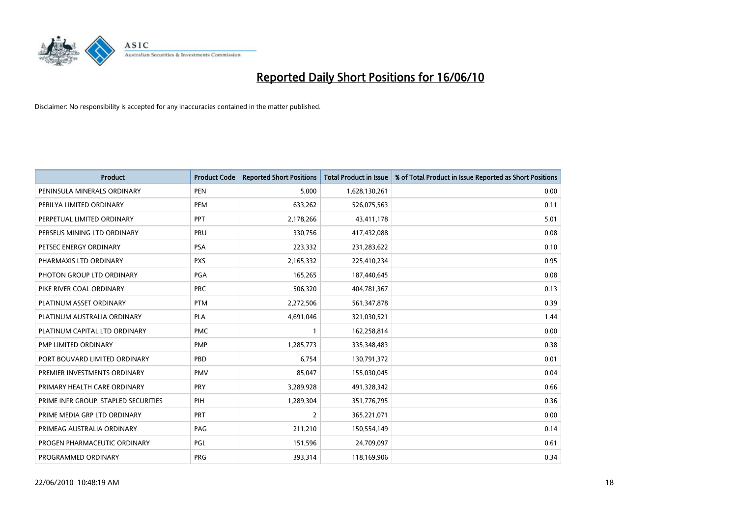

| <b>Product</b>                       | <b>Product Code</b> | <b>Reported Short Positions</b> | <b>Total Product in Issue</b> | % of Total Product in Issue Reported as Short Positions |
|--------------------------------------|---------------------|---------------------------------|-------------------------------|---------------------------------------------------------|
| PENINSULA MINERALS ORDINARY          | <b>PEN</b>          | 5,000                           | 1,628,130,261                 | 0.00                                                    |
| PERILYA LIMITED ORDINARY             | PEM                 | 633,262                         | 526,075,563                   | 0.11                                                    |
| PERPETUAL LIMITED ORDINARY           | PPT                 | 2,178,266                       | 43,411,178                    | 5.01                                                    |
| PERSEUS MINING LTD ORDINARY          | PRU                 | 330,756                         | 417,432,088                   | 0.08                                                    |
| PETSEC ENERGY ORDINARY               | <b>PSA</b>          | 223,332                         | 231,283,622                   | 0.10                                                    |
| PHARMAXIS LTD ORDINARY               | <b>PXS</b>          | 2,165,332                       | 225,410,234                   | 0.95                                                    |
| PHOTON GROUP LTD ORDINARY            | <b>PGA</b>          | 165,265                         | 187,440,645                   | 0.08                                                    |
| PIKE RIVER COAL ORDINARY             | <b>PRC</b>          | 506,320                         | 404,781,367                   | 0.13                                                    |
| PLATINUM ASSET ORDINARY              | <b>PTM</b>          | 2,272,506                       | 561,347,878                   | 0.39                                                    |
| PLATINUM AUSTRALIA ORDINARY          | <b>PLA</b>          | 4,691,046                       | 321,030,521                   | 1.44                                                    |
| PLATINUM CAPITAL LTD ORDINARY        | <b>PMC</b>          |                                 | 162,258,814                   | 0.00                                                    |
| PMP LIMITED ORDINARY                 | <b>PMP</b>          | 1,285,773                       | 335,348,483                   | 0.38                                                    |
| PORT BOUVARD LIMITED ORDINARY        | PBD                 | 6,754                           | 130,791,372                   | 0.01                                                    |
| PREMIER INVESTMENTS ORDINARY         | <b>PMV</b>          | 85,047                          | 155,030,045                   | 0.04                                                    |
| PRIMARY HEALTH CARE ORDINARY         | <b>PRY</b>          | 3,289,928                       | 491,328,342                   | 0.66                                                    |
| PRIME INFR GROUP. STAPLED SECURITIES | PIH                 | 1,289,304                       | 351,776,795                   | 0.36                                                    |
| PRIME MEDIA GRP LTD ORDINARY         | PRT                 | $\overline{2}$                  | 365,221,071                   | 0.00                                                    |
| PRIMEAG AUSTRALIA ORDINARY           | PAG                 | 211,210                         | 150,554,149                   | 0.14                                                    |
| PROGEN PHARMACEUTIC ORDINARY         | PGL                 | 151,596                         | 24,709,097                    | 0.61                                                    |
| PROGRAMMED ORDINARY                  | <b>PRG</b>          | 393,314                         | 118,169,906                   | 0.34                                                    |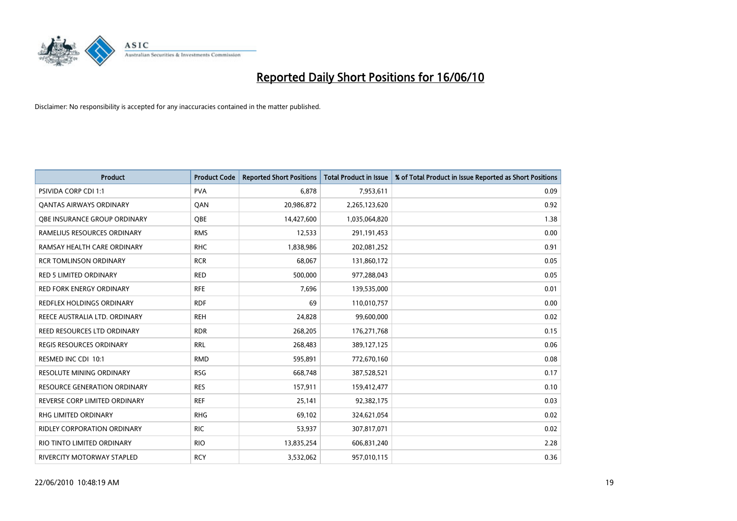

| <b>Product</b>                      | <b>Product Code</b> | <b>Reported Short Positions</b> | Total Product in Issue | % of Total Product in Issue Reported as Short Positions |
|-------------------------------------|---------------------|---------------------------------|------------------------|---------------------------------------------------------|
| <b>PSIVIDA CORP CDI 1:1</b>         | <b>PVA</b>          | 6,878                           | 7,953,611              | 0.09                                                    |
| <b>QANTAS AIRWAYS ORDINARY</b>      | QAN                 | 20,986,872                      | 2,265,123,620          | 0.92                                                    |
| QBE INSURANCE GROUP ORDINARY        | OBE                 | 14,427,600                      | 1,035,064,820          | 1.38                                                    |
| RAMELIUS RESOURCES ORDINARY         | <b>RMS</b>          | 12,533                          | 291,191,453            | 0.00                                                    |
| RAMSAY HEALTH CARE ORDINARY         | <b>RHC</b>          | 1,838,986                       | 202,081,252            | 0.91                                                    |
| <b>RCR TOMLINSON ORDINARY</b>       | <b>RCR</b>          | 68,067                          | 131,860,172            | 0.05                                                    |
| <b>RED 5 LIMITED ORDINARY</b>       | <b>RED</b>          | 500,000                         | 977,288,043            | 0.05                                                    |
| RED FORK ENERGY ORDINARY            | <b>RFE</b>          | 7,696                           | 139,535,000            | 0.01                                                    |
| <b>REDFLEX HOLDINGS ORDINARY</b>    | <b>RDF</b>          | 69                              | 110,010,757            | 0.00                                                    |
| REECE AUSTRALIA LTD. ORDINARY       | <b>REH</b>          | 24,828                          | 99,600,000             | 0.02                                                    |
| REED RESOURCES LTD ORDINARY         | <b>RDR</b>          | 268,205                         | 176,271,768            | 0.15                                                    |
| <b>REGIS RESOURCES ORDINARY</b>     | <b>RRL</b>          | 268,483                         | 389,127,125            | 0.06                                                    |
| RESMED INC CDI 10:1                 | <b>RMD</b>          | 595,891                         | 772,670,160            | 0.08                                                    |
| RESOLUTE MINING ORDINARY            | <b>RSG</b>          | 668,748                         | 387,528,521            | 0.17                                                    |
| <b>RESOURCE GENERATION ORDINARY</b> | <b>RES</b>          | 157,911                         | 159,412,477            | 0.10                                                    |
| REVERSE CORP LIMITED ORDINARY       | <b>REF</b>          | 25,141                          | 92,382,175             | 0.03                                                    |
| RHG LIMITED ORDINARY                | <b>RHG</b>          | 69,102                          | 324,621,054            | 0.02                                                    |
| RIDLEY CORPORATION ORDINARY         | <b>RIC</b>          | 53,937                          | 307,817,071            | 0.02                                                    |
| RIO TINTO LIMITED ORDINARY          | <b>RIO</b>          | 13,835,254                      | 606,831,240            | 2.28                                                    |
| RIVERCITY MOTORWAY STAPLED          | <b>RCY</b>          | 3,532,062                       | 957,010,115            | 0.36                                                    |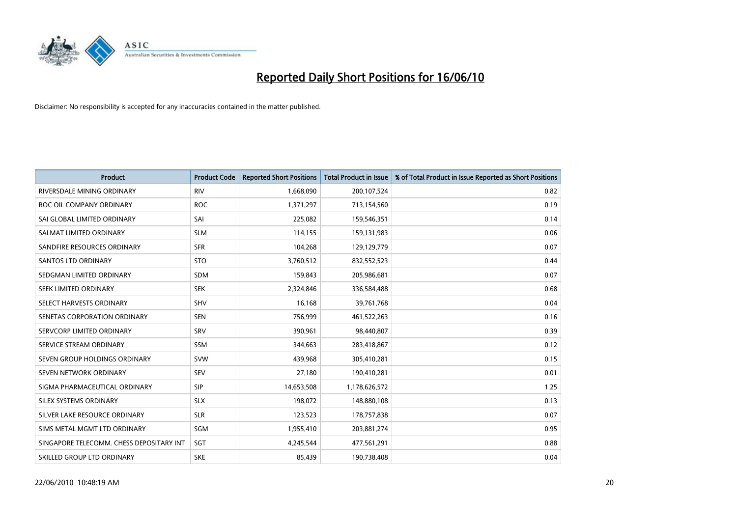

| <b>Product</b>                           | <b>Product Code</b> | <b>Reported Short Positions</b> | Total Product in Issue | % of Total Product in Issue Reported as Short Positions |
|------------------------------------------|---------------------|---------------------------------|------------------------|---------------------------------------------------------|
| RIVERSDALE MINING ORDINARY               | <b>RIV</b>          | 1,668,090                       | 200,107,524            | 0.82                                                    |
| ROC OIL COMPANY ORDINARY                 | <b>ROC</b>          | 1,371,297                       | 713,154,560            | 0.19                                                    |
| SAI GLOBAL LIMITED ORDINARY              | SAI                 | 225,082                         | 159,546,351            | 0.14                                                    |
| SALMAT LIMITED ORDINARY                  | <b>SLM</b>          | 114,155                         | 159,131,983            | 0.06                                                    |
| SANDFIRE RESOURCES ORDINARY              | <b>SFR</b>          | 104,268                         | 129,129,779            | 0.07                                                    |
| <b>SANTOS LTD ORDINARY</b>               | <b>STO</b>          | 3,760,512                       | 832,552,523            | 0.44                                                    |
| SEDGMAN LIMITED ORDINARY                 | <b>SDM</b>          | 159,843                         | 205,986,681            | 0.07                                                    |
| SEEK LIMITED ORDINARY                    | <b>SEK</b>          | 2,324,846                       | 336,584,488            | 0.68                                                    |
| SELECT HARVESTS ORDINARY                 | SHV                 | 16,168                          | 39,761,768             | 0.04                                                    |
| SENETAS CORPORATION ORDINARY             | <b>SEN</b>          | 756,999                         | 461,522,263            | 0.16                                                    |
| SERVCORP LIMITED ORDINARY                | SRV                 | 390,961                         | 98,440,807             | 0.39                                                    |
| SERVICE STREAM ORDINARY                  | <b>SSM</b>          | 344,663                         | 283,418,867            | 0.12                                                    |
| SEVEN GROUP HOLDINGS ORDINARY            | <b>SVW</b>          | 439,968                         | 305,410,281            | 0.15                                                    |
| SEVEN NETWORK ORDINARY                   | <b>SEV</b>          | 27,180                          | 190,410,281            | 0.01                                                    |
| SIGMA PHARMACEUTICAL ORDINARY            | SIP                 | 14,653,508                      | 1,178,626,572          | 1.25                                                    |
| SILEX SYSTEMS ORDINARY                   | <b>SLX</b>          | 198,072                         | 148,880,108            | 0.13                                                    |
| SILVER LAKE RESOURCE ORDINARY            | <b>SLR</b>          | 123,523                         | 178,757,838            | 0.07                                                    |
| SIMS METAL MGMT LTD ORDINARY             | SGM                 | 1,955,410                       | 203,881,274            | 0.95                                                    |
| SINGAPORE TELECOMM. CHESS DEPOSITARY INT | SGT                 | 4,245,544                       | 477,561,291            | 0.88                                                    |
| SKILLED GROUP LTD ORDINARY               | <b>SKE</b>          | 85,439                          | 190,738,408            | 0.04                                                    |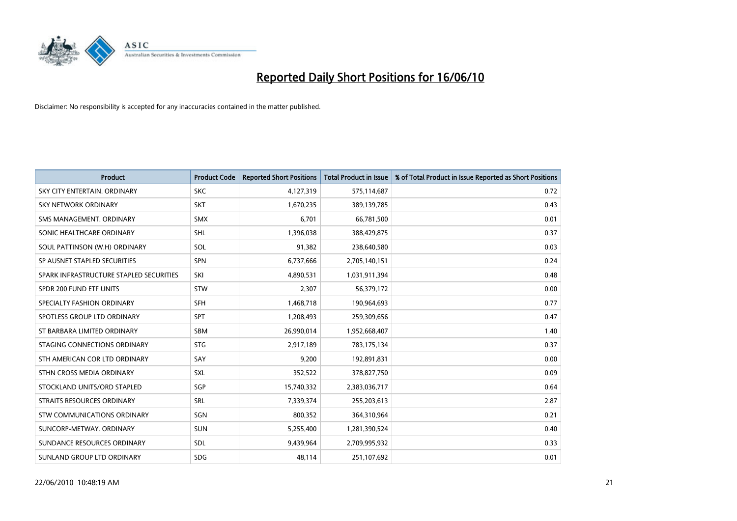

| <b>Product</b>                          | <b>Product Code</b> | <b>Reported Short Positions</b> | <b>Total Product in Issue</b> | % of Total Product in Issue Reported as Short Positions |
|-----------------------------------------|---------------------|---------------------------------|-------------------------------|---------------------------------------------------------|
| SKY CITY ENTERTAIN, ORDINARY            | <b>SKC</b>          | 4,127,319                       | 575,114,687                   | 0.72                                                    |
| SKY NETWORK ORDINARY                    | <b>SKT</b>          | 1,670,235                       | 389,139,785                   | 0.43                                                    |
| SMS MANAGEMENT, ORDINARY                | <b>SMX</b>          | 6.701                           | 66,781,500                    | 0.01                                                    |
| SONIC HEALTHCARE ORDINARY               | <b>SHL</b>          | 1,396,038                       | 388,429,875                   | 0.37                                                    |
| SOUL PATTINSON (W.H) ORDINARY           | SOL                 | 91,382                          | 238,640,580                   | 0.03                                                    |
| SP AUSNET STAPLED SECURITIES            | SPN                 | 6,737,666                       | 2,705,140,151                 | 0.24                                                    |
| SPARK INFRASTRUCTURE STAPLED SECURITIES | SKI                 | 4,890,531                       | 1,031,911,394                 | 0.48                                                    |
| SPDR 200 FUND ETF UNITS                 | <b>STW</b>          | 2,307                           | 56,379,172                    | 0.00                                                    |
| SPECIALTY FASHION ORDINARY              | <b>SFH</b>          | 1,468,718                       | 190,964,693                   | 0.77                                                    |
| SPOTLESS GROUP LTD ORDINARY             | <b>SPT</b>          | 1,208,493                       | 259,309,656                   | 0.47                                                    |
| ST BARBARA LIMITED ORDINARY             | <b>SBM</b>          | 26,990,014                      | 1,952,668,407                 | 1.40                                                    |
| STAGING CONNECTIONS ORDINARY            | <b>STG</b>          | 2,917,189                       | 783,175,134                   | 0.37                                                    |
| STH AMERICAN COR LTD ORDINARY           | SAY                 | 9,200                           | 192,891,831                   | 0.00                                                    |
| STHN CROSS MEDIA ORDINARY               | SXL                 | 352,522                         | 378,827,750                   | 0.09                                                    |
| STOCKLAND UNITS/ORD STAPLED             | SGP                 | 15,740,332                      | 2,383,036,717                 | 0.64                                                    |
| STRAITS RESOURCES ORDINARY              | SRL                 | 7,339,374                       | 255,203,613                   | 2.87                                                    |
| STW COMMUNICATIONS ORDINARY             | SGN                 | 800,352                         | 364,310,964                   | 0.21                                                    |
| SUNCORP-METWAY, ORDINARY                | <b>SUN</b>          | 5,255,400                       | 1,281,390,524                 | 0.40                                                    |
| SUNDANCE RESOURCES ORDINARY             | <b>SDL</b>          | 9,439,964                       | 2,709,995,932                 | 0.33                                                    |
| SUNLAND GROUP LTD ORDINARY              | <b>SDG</b>          | 48,114                          | 251,107,692                   | 0.01                                                    |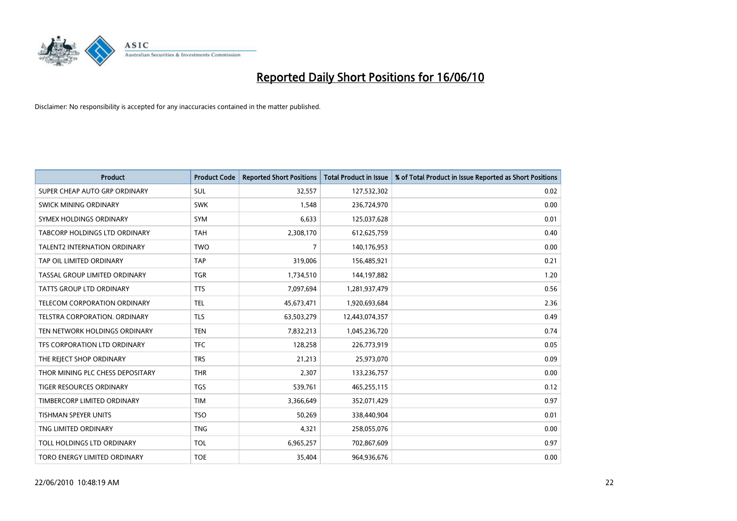

| <b>Product</b>                       | <b>Product Code</b> | <b>Reported Short Positions</b> | <b>Total Product in Issue</b> | % of Total Product in Issue Reported as Short Positions |
|--------------------------------------|---------------------|---------------------------------|-------------------------------|---------------------------------------------------------|
| SUPER CHEAP AUTO GRP ORDINARY        | <b>SUL</b>          | 32,557                          | 127,532,302                   | 0.02                                                    |
| SWICK MINING ORDINARY                | <b>SWK</b>          | 1,548                           | 236,724,970                   | 0.00                                                    |
| SYMEX HOLDINGS ORDINARY              | <b>SYM</b>          | 6,633                           | 125,037,628                   | 0.01                                                    |
| TABCORP HOLDINGS LTD ORDINARY        | <b>TAH</b>          | 2,308,170                       | 612,625,759                   | 0.40                                                    |
| <b>TALENT2 INTERNATION ORDINARY</b>  | <b>TWO</b>          | $\overline{7}$                  | 140,176,953                   | 0.00                                                    |
| TAP OIL LIMITED ORDINARY             | <b>TAP</b>          | 319,006                         | 156,485,921                   | 0.21                                                    |
| TASSAL GROUP LIMITED ORDINARY        | <b>TGR</b>          | 1,734,510                       | 144,197,882                   | 1.20                                                    |
| TATTS GROUP LTD ORDINARY             | <b>TTS</b>          | 7,097,694                       | 1,281,937,479                 | 0.56                                                    |
| TELECOM CORPORATION ORDINARY         | <b>TEL</b>          | 45,673,471                      | 1,920,693,684                 | 2.36                                                    |
| <b>TELSTRA CORPORATION, ORDINARY</b> | <b>TLS</b>          | 63,503,279                      | 12,443,074,357                | 0.49                                                    |
| TEN NETWORK HOLDINGS ORDINARY        | <b>TEN</b>          | 7,832,213                       | 1,045,236,720                 | 0.74                                                    |
| TFS CORPORATION LTD ORDINARY         | <b>TFC</b>          | 128,258                         | 226,773,919                   | 0.05                                                    |
| THE REJECT SHOP ORDINARY             | <b>TRS</b>          | 21,213                          | 25,973,070                    | 0.09                                                    |
| THOR MINING PLC CHESS DEPOSITARY     | <b>THR</b>          | 2,307                           | 133,236,757                   | 0.00                                                    |
| <b>TIGER RESOURCES ORDINARY</b>      | <b>TGS</b>          | 539,761                         | 465,255,115                   | 0.12                                                    |
| TIMBERCORP LIMITED ORDINARY          | <b>TIM</b>          | 3,366,649                       | 352,071,429                   | 0.97                                                    |
| TISHMAN SPEYER UNITS                 | <b>TSO</b>          | 50,269                          | 338,440,904                   | 0.01                                                    |
| TNG LIMITED ORDINARY                 | <b>TNG</b>          | 4,321                           | 258,055,076                   | 0.00                                                    |
| TOLL HOLDINGS LTD ORDINARY           | <b>TOL</b>          | 6,965,257                       | 702,867,609                   | 0.97                                                    |
| TORO ENERGY LIMITED ORDINARY         | <b>TOE</b>          | 35,404                          | 964,936,676                   | 0.00                                                    |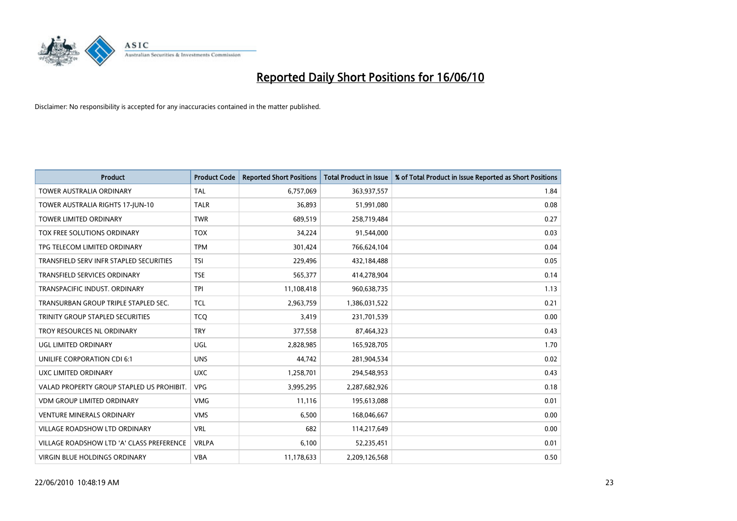

| <b>Product</b>                            | <b>Product Code</b> | <b>Reported Short Positions</b> | Total Product in Issue | % of Total Product in Issue Reported as Short Positions |
|-------------------------------------------|---------------------|---------------------------------|------------------------|---------------------------------------------------------|
| <b>TOWER AUSTRALIA ORDINARY</b>           | <b>TAL</b>          | 6,757,069                       | 363,937,557            | 1.84                                                    |
| TOWER AUSTRALIA RIGHTS 17-JUN-10          | <b>TALR</b>         | 36,893                          | 51,991,080             | 0.08                                                    |
| <b>TOWER LIMITED ORDINARY</b>             | <b>TWR</b>          | 689,519                         | 258,719,484            | 0.27                                                    |
| TOX FREE SOLUTIONS ORDINARY               | <b>TOX</b>          | 34,224                          | 91,544,000             | 0.03                                                    |
| TPG TELECOM LIMITED ORDINARY              | <b>TPM</b>          | 301,424                         | 766,624,104            | 0.04                                                    |
| TRANSFIELD SERV INFR STAPLED SECURITIES   | <b>TSI</b>          | 229,496                         | 432,184,488            | 0.05                                                    |
| <b>TRANSFIELD SERVICES ORDINARY</b>       | <b>TSE</b>          | 565,377                         | 414,278,904            | 0.14                                                    |
| TRANSPACIFIC INDUST. ORDINARY             | <b>TPI</b>          | 11,108,418                      | 960,638,735            | 1.13                                                    |
| TRANSURBAN GROUP TRIPLE STAPLED SEC.      | <b>TCL</b>          | 2,963,759                       | 1,386,031,522          | 0.21                                                    |
| TRINITY GROUP STAPLED SECURITIES          | <b>TCO</b>          | 3,419                           | 231,701,539            | 0.00                                                    |
| TROY RESOURCES NL ORDINARY                | <b>TRY</b>          | 377,558                         | 87,464,323             | 0.43                                                    |
| UGL LIMITED ORDINARY                      | UGL                 | 2,828,985                       | 165,928,705            | 1.70                                                    |
| UNILIFE CORPORATION CDI 6:1               | <b>UNS</b>          | 44,742                          | 281,904,534            | 0.02                                                    |
| UXC LIMITED ORDINARY                      | <b>UXC</b>          | 1,258,701                       | 294,548,953            | 0.43                                                    |
| VALAD PROPERTY GROUP STAPLED US PROHIBIT. | <b>VPG</b>          | 3,995,295                       | 2,287,682,926          | 0.18                                                    |
| <b>VDM GROUP LIMITED ORDINARY</b>         | <b>VMG</b>          | 11,116                          | 195,613,088            | 0.01                                                    |
| VENTURE MINERALS ORDINARY                 | <b>VMS</b>          | 6,500                           | 168,046,667            | 0.00                                                    |
| VILLAGE ROADSHOW LTD ORDINARY             | <b>VRL</b>          | 682                             | 114,217,649            | 0.00                                                    |
| VILLAGE ROADSHOW LTD 'A' CLASS PREFERENCE | <b>VRLPA</b>        | 6,100                           | 52,235,451             | 0.01                                                    |
| VIRGIN BLUE HOLDINGS ORDINARY             | <b>VBA</b>          | 11,178,633                      | 2,209,126,568          | 0.50                                                    |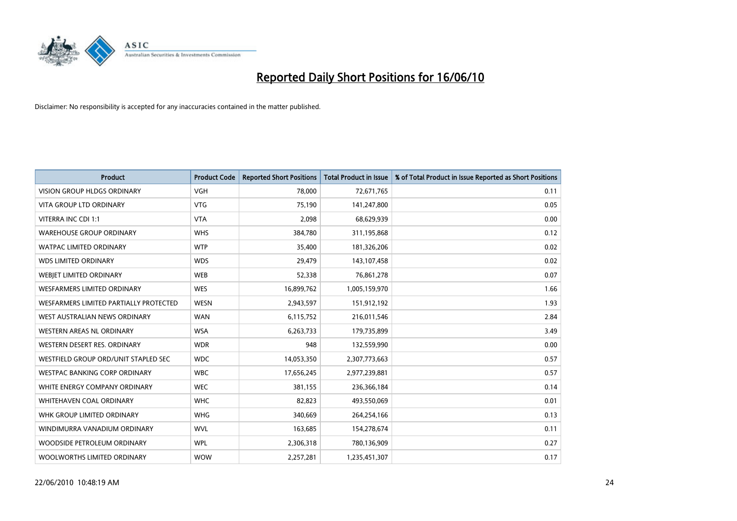

| <b>Product</b>                         | <b>Product Code</b> | <b>Reported Short Positions</b> | <b>Total Product in Issue</b> | % of Total Product in Issue Reported as Short Positions |
|----------------------------------------|---------------------|---------------------------------|-------------------------------|---------------------------------------------------------|
| <b>VISION GROUP HLDGS ORDINARY</b>     | <b>VGH</b>          | 78.000                          | 72,671,765                    | 0.11                                                    |
| VITA GROUP LTD ORDINARY                | <b>VTG</b>          | 75,190                          | 141,247,800                   | 0.05                                                    |
| VITERRA INC CDI 1:1                    | <b>VTA</b>          | 2,098                           | 68,629,939                    | 0.00                                                    |
| <b>WAREHOUSE GROUP ORDINARY</b>        | <b>WHS</b>          | 384,780                         | 311,195,868                   | 0.12                                                    |
| <b>WATPAC LIMITED ORDINARY</b>         | <b>WTP</b>          | 35,400                          | 181,326,206                   | 0.02                                                    |
| <b>WDS LIMITED ORDINARY</b>            | <b>WDS</b>          | 29,479                          | 143,107,458                   | 0.02                                                    |
| WEBIET LIMITED ORDINARY                | <b>WEB</b>          | 52,338                          | 76,861,278                    | 0.07                                                    |
| <b>WESFARMERS LIMITED ORDINARY</b>     | <b>WES</b>          | 16,899,762                      | 1,005,159,970                 | 1.66                                                    |
| WESFARMERS LIMITED PARTIALLY PROTECTED | <b>WESN</b>         | 2,943,597                       | 151,912,192                   | 1.93                                                    |
| WEST AUSTRALIAN NEWS ORDINARY          | <b>WAN</b>          | 6,115,752                       | 216,011,546                   | 2.84                                                    |
| WESTERN AREAS NL ORDINARY              | <b>WSA</b>          | 6,263,733                       | 179,735,899                   | 3.49                                                    |
| WESTERN DESERT RES. ORDINARY           | <b>WDR</b>          | 948                             | 132,559,990                   | 0.00                                                    |
| WESTFIELD GROUP ORD/UNIT STAPLED SEC   | <b>WDC</b>          | 14,053,350                      | 2,307,773,663                 | 0.57                                                    |
| <b>WESTPAC BANKING CORP ORDINARY</b>   | <b>WBC</b>          | 17,656,245                      | 2,977,239,881                 | 0.57                                                    |
| WHITE ENERGY COMPANY ORDINARY          | <b>WEC</b>          | 381,155                         | 236,366,184                   | 0.14                                                    |
| WHITEHAVEN COAL ORDINARY               | <b>WHC</b>          | 82,823                          | 493,550,069                   | 0.01                                                    |
| WHK GROUP LIMITED ORDINARY             | <b>WHG</b>          | 340,669                         | 264,254,166                   | 0.13                                                    |
| WINDIMURRA VANADIUM ORDINARY           | <b>WVL</b>          | 163,685                         | 154,278,674                   | 0.11                                                    |
| WOODSIDE PETROLEUM ORDINARY            | <b>WPL</b>          | 2,306,318                       | 780,136,909                   | 0.27                                                    |
| WOOLWORTHS LIMITED ORDINARY            | <b>WOW</b>          | 2.257.281                       | 1,235,451,307                 | 0.17                                                    |